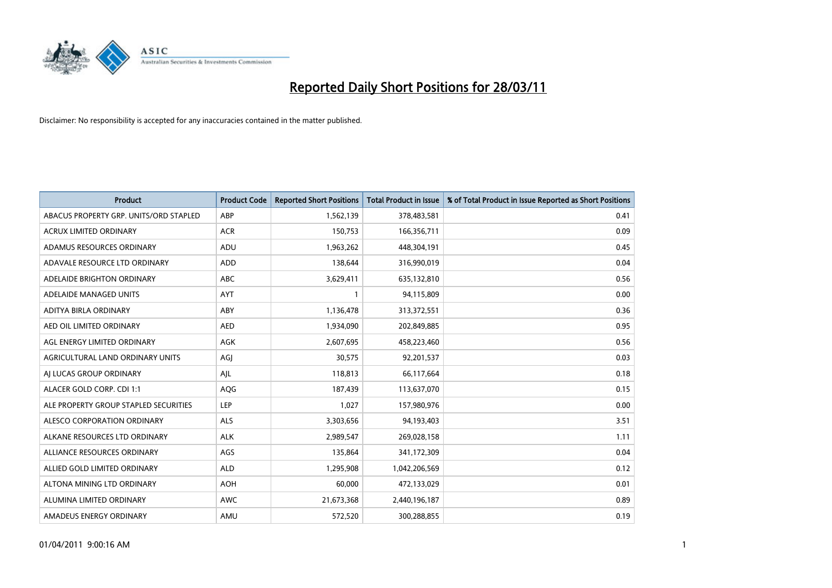

| <b>Product</b>                         | <b>Product Code</b> | <b>Reported Short Positions</b> | <b>Total Product in Issue</b> | % of Total Product in Issue Reported as Short Positions |
|----------------------------------------|---------------------|---------------------------------|-------------------------------|---------------------------------------------------------|
| ABACUS PROPERTY GRP. UNITS/ORD STAPLED | ABP                 | 1,562,139                       | 378,483,581                   | 0.41                                                    |
| ACRUX LIMITED ORDINARY                 | <b>ACR</b>          | 150,753                         | 166,356,711                   | 0.09                                                    |
| ADAMUS RESOURCES ORDINARY              | ADU                 | 1,963,262                       | 448,304,191                   | 0.45                                                    |
| ADAVALE RESOURCE LTD ORDINARY          | <b>ADD</b>          | 138,644                         | 316,990,019                   | 0.04                                                    |
| ADELAIDE BRIGHTON ORDINARY             | <b>ABC</b>          | 3,629,411                       | 635,132,810                   | 0.56                                                    |
| ADELAIDE MANAGED UNITS                 | <b>AYT</b>          |                                 | 94,115,809                    | 0.00                                                    |
| ADITYA BIRLA ORDINARY                  | ABY                 | 1,136,478                       | 313,372,551                   | 0.36                                                    |
| AED OIL LIMITED ORDINARY               | <b>AED</b>          | 1,934,090                       | 202,849,885                   | 0.95                                                    |
| AGL ENERGY LIMITED ORDINARY            | <b>AGK</b>          | 2,607,695                       | 458,223,460                   | 0.56                                                    |
| AGRICULTURAL LAND ORDINARY UNITS       | AGI                 | 30,575                          | 92,201,537                    | 0.03                                                    |
| AI LUCAS GROUP ORDINARY                | AJL                 | 118,813                         | 66,117,664                    | 0.18                                                    |
| ALACER GOLD CORP. CDI 1:1              | AQG                 | 187,439                         | 113,637,070                   | 0.15                                                    |
| ALE PROPERTY GROUP STAPLED SECURITIES  | LEP                 | 1,027                           | 157,980,976                   | 0.00                                                    |
| ALESCO CORPORATION ORDINARY            | <b>ALS</b>          | 3,303,656                       | 94,193,403                    | 3.51                                                    |
| ALKANE RESOURCES LTD ORDINARY          | <b>ALK</b>          | 2,989,547                       | 269,028,158                   | 1.11                                                    |
| ALLIANCE RESOURCES ORDINARY            | AGS                 | 135,864                         | 341,172,309                   | 0.04                                                    |
| ALLIED GOLD LIMITED ORDINARY           | <b>ALD</b>          | 1,295,908                       | 1,042,206,569                 | 0.12                                                    |
| ALTONA MINING LTD ORDINARY             | <b>AOH</b>          | 60,000                          | 472,133,029                   | 0.01                                                    |
| ALUMINA LIMITED ORDINARY               | <b>AWC</b>          | 21,673,368                      | 2,440,196,187                 | 0.89                                                    |
| AMADEUS ENERGY ORDINARY                | AMU                 | 572,520                         | 300,288,855                   | 0.19                                                    |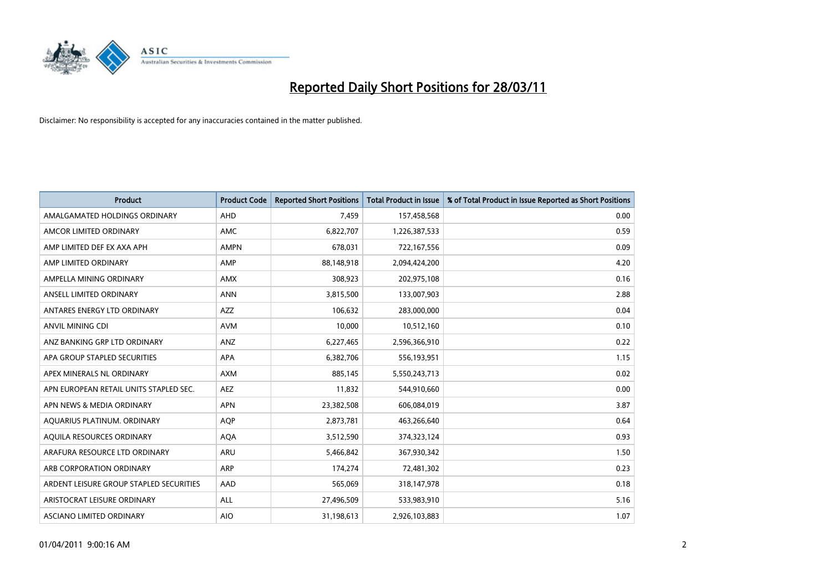

| <b>Product</b>                          | <b>Product Code</b> | <b>Reported Short Positions</b> | <b>Total Product in Issue</b> | % of Total Product in Issue Reported as Short Positions |
|-----------------------------------------|---------------------|---------------------------------|-------------------------------|---------------------------------------------------------|
| AMALGAMATED HOLDINGS ORDINARY           | <b>AHD</b>          | 7,459                           | 157,458,568                   | 0.00                                                    |
| AMCOR LIMITED ORDINARY                  | AMC                 | 6,822,707                       | 1,226,387,533                 | 0.59                                                    |
| AMP LIMITED DEF EX AXA APH              | <b>AMPN</b>         | 678,031                         | 722,167,556                   | 0.09                                                    |
| AMP LIMITED ORDINARY                    | AMP                 | 88,148,918                      | 2,094,424,200                 | 4.20                                                    |
| AMPELLA MINING ORDINARY                 | <b>AMX</b>          | 308,923                         | 202,975,108                   | 0.16                                                    |
| ANSELL LIMITED ORDINARY                 | <b>ANN</b>          | 3,815,500                       | 133,007,903                   | 2.88                                                    |
| ANTARES ENERGY LTD ORDINARY             | AZZ                 | 106,632                         | 283,000,000                   | 0.04                                                    |
| <b>ANVIL MINING CDI</b>                 | <b>AVM</b>          | 10,000                          | 10,512,160                    | 0.10                                                    |
| ANZ BANKING GRP LTD ORDINARY            | ANZ                 | 6,227,465                       | 2,596,366,910                 | 0.22                                                    |
| APA GROUP STAPLED SECURITIES            | <b>APA</b>          | 6,382,706                       | 556,193,951                   | 1.15                                                    |
| APEX MINERALS NL ORDINARY               | <b>AXM</b>          | 885,145                         | 5,550,243,713                 | 0.02                                                    |
| APN EUROPEAN RETAIL UNITS STAPLED SEC.  | <b>AEZ</b>          | 11,832                          | 544,910,660                   | 0.00                                                    |
| APN NEWS & MEDIA ORDINARY               | <b>APN</b>          | 23,382,508                      | 606,084,019                   | 3.87                                                    |
| AQUARIUS PLATINUM. ORDINARY             | <b>AOP</b>          | 2,873,781                       | 463,266,640                   | 0.64                                                    |
| AQUILA RESOURCES ORDINARY               | AQA                 | 3,512,590                       | 374,323,124                   | 0.93                                                    |
| ARAFURA RESOURCE LTD ORDINARY           | ARU                 | 5,466,842                       | 367,930,342                   | 1.50                                                    |
| ARB CORPORATION ORDINARY                | ARP                 | 174,274                         | 72,481,302                    | 0.23                                                    |
| ARDENT LEISURE GROUP STAPLED SECURITIES | AAD                 | 565,069                         | 318,147,978                   | 0.18                                                    |
| ARISTOCRAT LEISURE ORDINARY             | <b>ALL</b>          | 27,496,509                      | 533,983,910                   | 5.16                                                    |
| ASCIANO LIMITED ORDINARY                | <b>AIO</b>          | 31,198,613                      | 2,926,103,883                 | 1.07                                                    |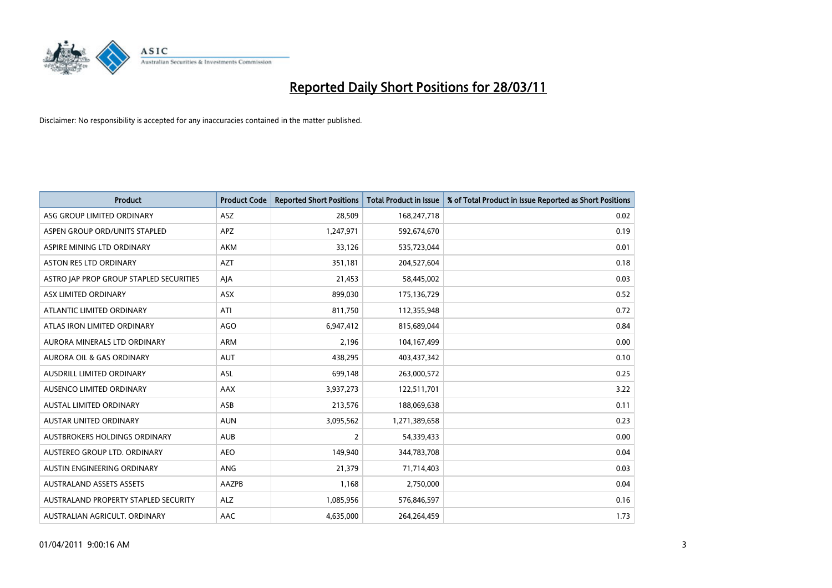

| <b>Product</b>                          | <b>Product Code</b> | <b>Reported Short Positions</b> | Total Product in Issue | % of Total Product in Issue Reported as Short Positions |
|-----------------------------------------|---------------------|---------------------------------|------------------------|---------------------------------------------------------|
| ASG GROUP LIMITED ORDINARY              | <b>ASZ</b>          | 28,509                          | 168,247,718            | 0.02                                                    |
| ASPEN GROUP ORD/UNITS STAPLED           | <b>APZ</b>          | 1,247,971                       | 592,674,670            | 0.19                                                    |
| ASPIRE MINING LTD ORDINARY              | <b>AKM</b>          | 33,126                          | 535,723,044            | 0.01                                                    |
| ASTON RES LTD ORDINARY                  | <b>AZT</b>          | 351,181                         | 204,527,604            | 0.18                                                    |
| ASTRO IAP PROP GROUP STAPLED SECURITIES | AJA                 | 21,453                          | 58,445,002             | 0.03                                                    |
| ASX LIMITED ORDINARY                    | ASX                 | 899,030                         | 175,136,729            | 0.52                                                    |
| ATLANTIC LIMITED ORDINARY               | ATI                 | 811,750                         | 112,355,948            | 0.72                                                    |
| ATLAS IRON LIMITED ORDINARY             | <b>AGO</b>          | 6,947,412                       | 815,689,044            | 0.84                                                    |
| AURORA MINERALS LTD ORDINARY            | <b>ARM</b>          | 2,196                           | 104,167,499            | 0.00                                                    |
| <b>AURORA OIL &amp; GAS ORDINARY</b>    | <b>AUT</b>          | 438,295                         | 403,437,342            | 0.10                                                    |
| AUSDRILL LIMITED ORDINARY               | <b>ASL</b>          | 699,148                         | 263,000,572            | 0.25                                                    |
| AUSENCO LIMITED ORDINARY                | <b>AAX</b>          | 3,937,273                       | 122,511,701            | 3.22                                                    |
| <b>AUSTAL LIMITED ORDINARY</b>          | ASB                 | 213,576                         | 188,069,638            | 0.11                                                    |
| <b>AUSTAR UNITED ORDINARY</b>           | <b>AUN</b>          | 3,095,562                       | 1,271,389,658          | 0.23                                                    |
| AUSTBROKERS HOLDINGS ORDINARY           | <b>AUB</b>          | 2                               | 54,339,433             | 0.00                                                    |
| AUSTEREO GROUP LTD. ORDINARY            | <b>AEO</b>          | 149,940                         | 344,783,708            | 0.04                                                    |
| AUSTIN ENGINEERING ORDINARY             | ANG                 | 21,379                          | 71,714,403             | 0.03                                                    |
| <b>AUSTRALAND ASSETS ASSETS</b>         | AAZPB               | 1,168                           | 2,750,000              | 0.04                                                    |
| AUSTRALAND PROPERTY STAPLED SECURITY    | <b>ALZ</b>          | 1,085,956                       | 576,846,597            | 0.16                                                    |
| AUSTRALIAN AGRICULT, ORDINARY           | AAC                 | 4,635,000                       | 264.264.459            | 1.73                                                    |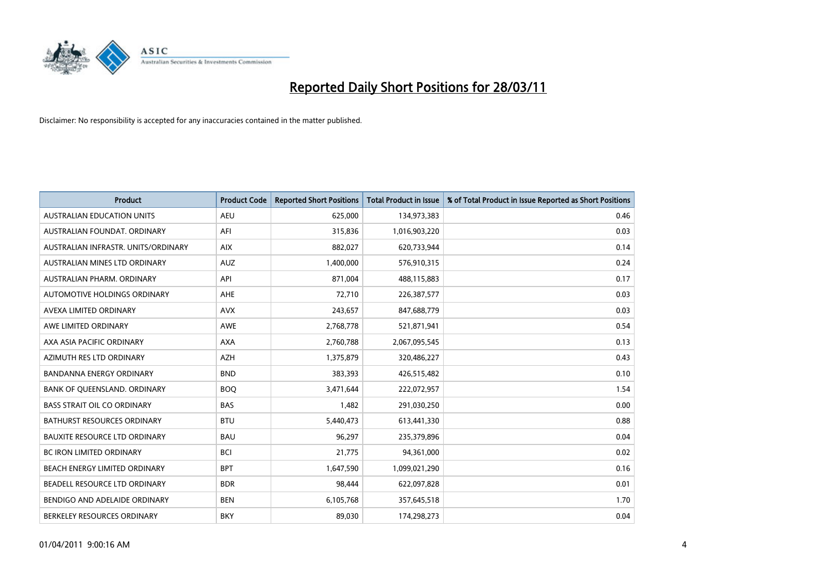

| <b>Product</b>                       | <b>Product Code</b> | <b>Reported Short Positions</b> | <b>Total Product in Issue</b> | % of Total Product in Issue Reported as Short Positions |
|--------------------------------------|---------------------|---------------------------------|-------------------------------|---------------------------------------------------------|
| <b>AUSTRALIAN EDUCATION UNITS</b>    | <b>AEU</b>          | 625,000                         | 134,973,383                   | 0.46                                                    |
| AUSTRALIAN FOUNDAT, ORDINARY         | AFI                 | 315,836                         | 1,016,903,220                 | 0.03                                                    |
| AUSTRALIAN INFRASTR, UNITS/ORDINARY  | <b>AIX</b>          | 882,027                         | 620,733,944                   | 0.14                                                    |
| AUSTRALIAN MINES LTD ORDINARY        | <b>AUZ</b>          | 1,400,000                       | 576,910,315                   | 0.24                                                    |
| AUSTRALIAN PHARM, ORDINARY           | API                 | 871,004                         | 488,115,883                   | 0.17                                                    |
| AUTOMOTIVE HOLDINGS ORDINARY         | AHE                 | 72,710                          | 226,387,577                   | 0.03                                                    |
| AVEXA LIMITED ORDINARY               | <b>AVX</b>          | 243,657                         | 847,688,779                   | 0.03                                                    |
| AWE LIMITED ORDINARY                 | <b>AWE</b>          | 2,768,778                       | 521,871,941                   | 0.54                                                    |
| AXA ASIA PACIFIC ORDINARY            | <b>AXA</b>          | 2,760,788                       | 2,067,095,545                 | 0.13                                                    |
| AZIMUTH RES LTD ORDINARY             | <b>AZH</b>          | 1,375,879                       | 320,486,227                   | 0.43                                                    |
| <b>BANDANNA ENERGY ORDINARY</b>      | <b>BND</b>          | 383,393                         | 426,515,482                   | 0.10                                                    |
| BANK OF QUEENSLAND. ORDINARY         | <b>BOQ</b>          | 3,471,644                       | 222,072,957                   | 1.54                                                    |
| <b>BASS STRAIT OIL CO ORDINARY</b>   | <b>BAS</b>          | 1,482                           | 291,030,250                   | 0.00                                                    |
| <b>BATHURST RESOURCES ORDINARY</b>   | <b>BTU</b>          | 5,440,473                       | 613,441,330                   | 0.88                                                    |
| <b>BAUXITE RESOURCE LTD ORDINARY</b> | <b>BAU</b>          | 96,297                          | 235,379,896                   | 0.04                                                    |
| <b>BC IRON LIMITED ORDINARY</b>      | <b>BCI</b>          | 21,775                          | 94,361,000                    | 0.02                                                    |
| BEACH ENERGY LIMITED ORDINARY        | <b>BPT</b>          | 1,647,590                       | 1,099,021,290                 | 0.16                                                    |
| BEADELL RESOURCE LTD ORDINARY        | <b>BDR</b>          | 98,444                          | 622,097,828                   | 0.01                                                    |
| BENDIGO AND ADELAIDE ORDINARY        | <b>BEN</b>          | 6,105,768                       | 357,645,518                   | 1.70                                                    |
| BERKELEY RESOURCES ORDINARY          | <b>BKY</b>          | 89.030                          | 174,298,273                   | 0.04                                                    |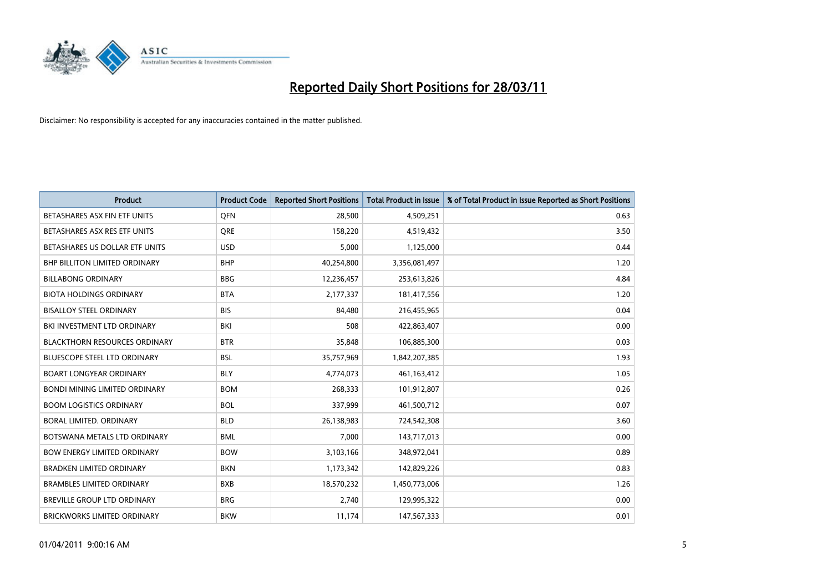

| <b>Product</b>                       | <b>Product Code</b> | <b>Reported Short Positions</b> | <b>Total Product in Issue</b> | % of Total Product in Issue Reported as Short Positions |
|--------------------------------------|---------------------|---------------------------------|-------------------------------|---------------------------------------------------------|
| BETASHARES ASX FIN ETF UNITS         | <b>OFN</b>          | 28,500                          | 4,509,251                     | 0.63                                                    |
| BETASHARES ASX RES ETF UNITS         | <b>ORE</b>          | 158,220                         | 4,519,432                     | 3.50                                                    |
| BETASHARES US DOLLAR ETF UNITS       | <b>USD</b>          | 5,000                           | 1,125,000                     | 0.44                                                    |
| BHP BILLITON LIMITED ORDINARY        | <b>BHP</b>          | 40,254,800                      | 3,356,081,497                 | 1.20                                                    |
| <b>BILLABONG ORDINARY</b>            | <b>BBG</b>          | 12,236,457                      | 253,613,826                   | 4.84                                                    |
| <b>BIOTA HOLDINGS ORDINARY</b>       | <b>BTA</b>          | 2,177,337                       | 181,417,556                   | 1.20                                                    |
| <b>BISALLOY STEEL ORDINARY</b>       | <b>BIS</b>          | 84.480                          | 216,455,965                   | 0.04                                                    |
| BKI INVESTMENT LTD ORDINARY          | <b>BKI</b>          | 508                             | 422,863,407                   | 0.00                                                    |
| <b>BLACKTHORN RESOURCES ORDINARY</b> | <b>BTR</b>          | 35,848                          | 106,885,300                   | 0.03                                                    |
| <b>BLUESCOPE STEEL LTD ORDINARY</b>  | <b>BSL</b>          | 35,757,969                      | 1,842,207,385                 | 1.93                                                    |
| <b>BOART LONGYEAR ORDINARY</b>       | <b>BLY</b>          | 4,774,073                       | 461,163,412                   | 1.05                                                    |
| <b>BONDI MINING LIMITED ORDINARY</b> | <b>BOM</b>          | 268,333                         | 101,912,807                   | 0.26                                                    |
| <b>BOOM LOGISTICS ORDINARY</b>       | <b>BOL</b>          | 337,999                         | 461,500,712                   | 0.07                                                    |
| BORAL LIMITED, ORDINARY              | <b>BLD</b>          | 26,138,983                      | 724,542,308                   | 3.60                                                    |
| BOTSWANA METALS LTD ORDINARY         | <b>BML</b>          | 7,000                           | 143,717,013                   | 0.00                                                    |
| <b>BOW ENERGY LIMITED ORDINARY</b>   | <b>BOW</b>          | 3,103,166                       | 348,972,041                   | 0.89                                                    |
| <b>BRADKEN LIMITED ORDINARY</b>      | <b>BKN</b>          | 1,173,342                       | 142,829,226                   | 0.83                                                    |
| <b>BRAMBLES LIMITED ORDINARY</b>     | <b>BXB</b>          | 18,570,232                      | 1,450,773,006                 | 1.26                                                    |
| <b>BREVILLE GROUP LTD ORDINARY</b>   | <b>BRG</b>          | 2,740                           | 129,995,322                   | 0.00                                                    |
| <b>BRICKWORKS LIMITED ORDINARY</b>   | <b>BKW</b>          | 11,174                          | 147,567,333                   | 0.01                                                    |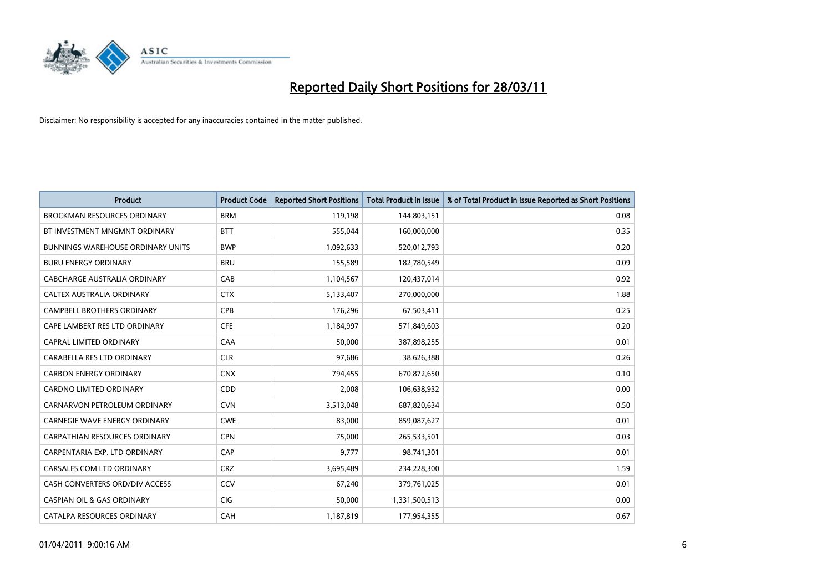

| Product                                  | <b>Product Code</b> | <b>Reported Short Positions</b> | <b>Total Product in Issue</b> | % of Total Product in Issue Reported as Short Positions |
|------------------------------------------|---------------------|---------------------------------|-------------------------------|---------------------------------------------------------|
| <b>BROCKMAN RESOURCES ORDINARY</b>       | <b>BRM</b>          | 119,198                         | 144,803,151                   | 0.08                                                    |
| BT INVESTMENT MNGMNT ORDINARY            | <b>BTT</b>          | 555,044                         | 160,000,000                   | 0.35                                                    |
| <b>BUNNINGS WAREHOUSE ORDINARY UNITS</b> | <b>BWP</b>          | 1,092,633                       | 520,012,793                   | 0.20                                                    |
| <b>BURU ENERGY ORDINARY</b>              | <b>BRU</b>          | 155,589                         | 182,780,549                   | 0.09                                                    |
| CABCHARGE AUSTRALIA ORDINARY             | CAB                 | 1,104,567                       | 120,437,014                   | 0.92                                                    |
| CALTEX AUSTRALIA ORDINARY                | <b>CTX</b>          | 5,133,407                       | 270,000,000                   | 1.88                                                    |
| <b>CAMPBELL BROTHERS ORDINARY</b>        | <b>CPB</b>          | 176,296                         | 67,503,411                    | 0.25                                                    |
| CAPE LAMBERT RES LTD ORDINARY            | <b>CFE</b>          | 1,184,997                       | 571,849,603                   | 0.20                                                    |
| <b>CAPRAL LIMITED ORDINARY</b>           | CAA                 | 50,000                          | 387,898,255                   | 0.01                                                    |
| CARABELLA RES LTD ORDINARY               | <b>CLR</b>          | 97,686                          | 38,626,388                    | 0.26                                                    |
| <b>CARBON ENERGY ORDINARY</b>            | <b>CNX</b>          | 794,455                         | 670,872,650                   | 0.10                                                    |
| <b>CARDNO LIMITED ORDINARY</b>           | CDD                 | 2,008                           | 106,638,932                   | 0.00                                                    |
| CARNARVON PETROLEUM ORDINARY             | <b>CVN</b>          | 3,513,048                       | 687,820,634                   | 0.50                                                    |
| <b>CARNEGIE WAVE ENERGY ORDINARY</b>     | <b>CWE</b>          | 83.000                          | 859,087,627                   | 0.01                                                    |
| <b>CARPATHIAN RESOURCES ORDINARY</b>     | <b>CPN</b>          | 75,000                          | 265,533,501                   | 0.03                                                    |
| CARPENTARIA EXP. LTD ORDINARY            | CAP                 | 9,777                           | 98,741,301                    | 0.01                                                    |
| CARSALES.COM LTD ORDINARY                | <b>CRZ</b>          | 3,695,489                       | 234,228,300                   | 1.59                                                    |
| CASH CONVERTERS ORD/DIV ACCESS           | CCV                 | 67,240                          | 379,761,025                   | 0.01                                                    |
| <b>CASPIAN OIL &amp; GAS ORDINARY</b>    | <b>CIG</b>          | 50,000                          | 1,331,500,513                 | 0.00                                                    |
| CATALPA RESOURCES ORDINARY               | CAH                 | 1,187,819                       | 177,954,355                   | 0.67                                                    |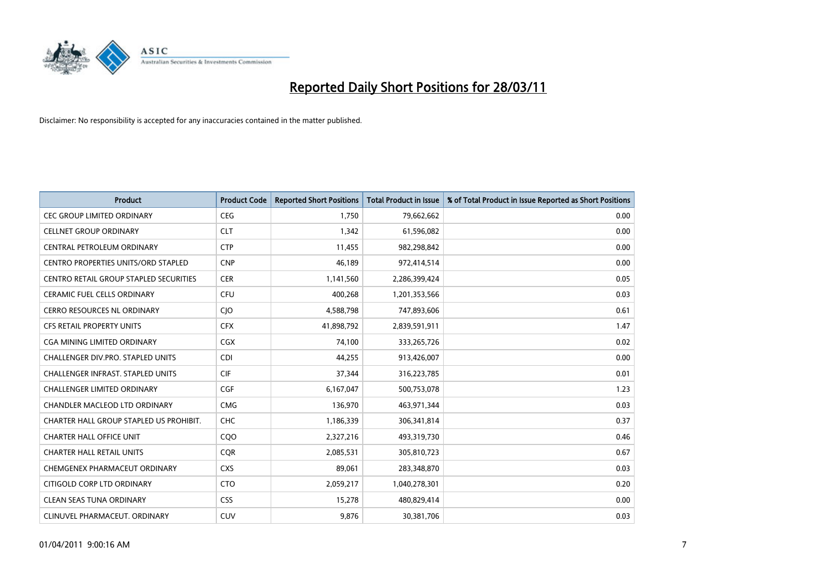

| <b>Product</b>                                | <b>Product Code</b> | <b>Reported Short Positions</b> | Total Product in Issue | % of Total Product in Issue Reported as Short Positions |
|-----------------------------------------------|---------------------|---------------------------------|------------------------|---------------------------------------------------------|
| <b>CEC GROUP LIMITED ORDINARY</b>             | <b>CEG</b>          | 1,750                           | 79,662,662             | 0.00                                                    |
| <b>CELLNET GROUP ORDINARY</b>                 | <b>CLT</b>          | 1.342                           | 61,596,082             | 0.00                                                    |
| CENTRAL PETROLEUM ORDINARY                    | <b>CTP</b>          | 11,455                          | 982,298,842            | 0.00                                                    |
| CENTRO PROPERTIES UNITS/ORD STAPLED           | <b>CNP</b>          | 46,189                          | 972,414,514            | 0.00                                                    |
| <b>CENTRO RETAIL GROUP STAPLED SECURITIES</b> | <b>CER</b>          | 1,141,560                       | 2,286,399,424          | 0.05                                                    |
| <b>CERAMIC FUEL CELLS ORDINARY</b>            | <b>CFU</b>          | 400,268                         | 1,201,353,566          | 0.03                                                    |
| <b>CERRO RESOURCES NL ORDINARY</b>            | <b>CIO</b>          | 4,588,798                       | 747,893,606            | 0.61                                                    |
| <b>CFS RETAIL PROPERTY UNITS</b>              | <b>CFX</b>          | 41,898,792                      | 2,839,591,911          | 1.47                                                    |
| CGA MINING LIMITED ORDINARY                   | <b>CGX</b>          | 74,100                          | 333,265,726            | 0.02                                                    |
| CHALLENGER DIV.PRO. STAPLED UNITS             | <b>CDI</b>          | 44,255                          | 913,426,007            | 0.00                                                    |
| <b>CHALLENGER INFRAST, STAPLED UNITS</b>      | <b>CIF</b>          | 37,344                          | 316,223,785            | 0.01                                                    |
| <b>CHALLENGER LIMITED ORDINARY</b>            | <b>CGF</b>          | 6,167,047                       | 500,753,078            | 1.23                                                    |
| <b>CHANDLER MACLEOD LTD ORDINARY</b>          | <b>CMG</b>          | 136,970                         | 463,971,344            | 0.03                                                    |
| CHARTER HALL GROUP STAPLED US PROHIBIT.       | <b>CHC</b>          | 1,186,339                       | 306,341,814            | 0.37                                                    |
| <b>CHARTER HALL OFFICE UNIT</b>               | CQ <sub>O</sub>     | 2,327,216                       | 493,319,730            | 0.46                                                    |
| <b>CHARTER HALL RETAIL UNITS</b>              | <b>COR</b>          | 2,085,531                       | 305,810,723            | 0.67                                                    |
| CHEMGENEX PHARMACEUT ORDINARY                 | <b>CXS</b>          | 89,061                          | 283,348,870            | 0.03                                                    |
| CITIGOLD CORP LTD ORDINARY                    | <b>CTO</b>          | 2,059,217                       | 1,040,278,301          | 0.20                                                    |
| <b>CLEAN SEAS TUNA ORDINARY</b>               | <b>CSS</b>          | 15,278                          | 480,829,414            | 0.00                                                    |
| CLINUVEL PHARMACEUT, ORDINARY                 | <b>CUV</b>          | 9.876                           | 30,381,706             | 0.03                                                    |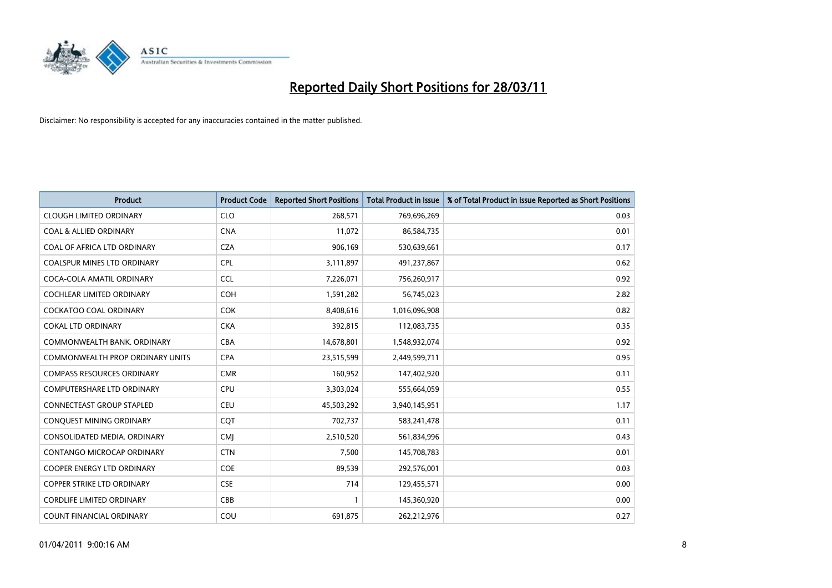

| Product                                 | <b>Product Code</b> | <b>Reported Short Positions</b> | <b>Total Product in Issue</b> | % of Total Product in Issue Reported as Short Positions |
|-----------------------------------------|---------------------|---------------------------------|-------------------------------|---------------------------------------------------------|
| <b>CLOUGH LIMITED ORDINARY</b>          | <b>CLO</b>          | 268,571                         | 769,696,269                   | 0.03                                                    |
| <b>COAL &amp; ALLIED ORDINARY</b>       | <b>CNA</b>          | 11,072                          | 86,584,735                    | 0.01                                                    |
| <b>COAL OF AFRICA LTD ORDINARY</b>      | <b>CZA</b>          | 906,169                         | 530,639,661                   | 0.17                                                    |
| COALSPUR MINES LTD ORDINARY             | <b>CPL</b>          | 3,111,897                       | 491,237,867                   | 0.62                                                    |
| COCA-COLA AMATIL ORDINARY               | <b>CCL</b>          | 7,226,071                       | 756,260,917                   | 0.92                                                    |
| <b>COCHLEAR LIMITED ORDINARY</b>        | <b>COH</b>          | 1,591,282                       | 56,745,023                    | 2.82                                                    |
| <b>COCKATOO COAL ORDINARY</b>           | <b>COK</b>          | 8,408,616                       | 1,016,096,908                 | 0.82                                                    |
| <b>COKAL LTD ORDINARY</b>               | <b>CKA</b>          | 392,815                         | 112,083,735                   | 0.35                                                    |
| COMMONWEALTH BANK, ORDINARY             | <b>CBA</b>          | 14,678,801                      | 1,548,932,074                 | 0.92                                                    |
| <b>COMMONWEALTH PROP ORDINARY UNITS</b> | <b>CPA</b>          | 23,515,599                      | 2,449,599,711                 | 0.95                                                    |
| <b>COMPASS RESOURCES ORDINARY</b>       | <b>CMR</b>          | 160,952                         | 147,402,920                   | 0.11                                                    |
| <b>COMPUTERSHARE LTD ORDINARY</b>       | <b>CPU</b>          | 3,303,024                       | 555,664,059                   | 0.55                                                    |
| <b>CONNECTEAST GROUP STAPLED</b>        | <b>CEU</b>          | 45,503,292                      | 3,940,145,951                 | 1.17                                                    |
| CONQUEST MINING ORDINARY                | <b>COT</b>          | 702,737                         | 583,241,478                   | 0.11                                                    |
| CONSOLIDATED MEDIA, ORDINARY            | <b>CMI</b>          | 2,510,520                       | 561,834,996                   | 0.43                                                    |
| CONTANGO MICROCAP ORDINARY              | <b>CTN</b>          | 7,500                           | 145,708,783                   | 0.01                                                    |
| <b>COOPER ENERGY LTD ORDINARY</b>       | <b>COE</b>          | 89,539                          | 292,576,001                   | 0.03                                                    |
| COPPER STRIKE LTD ORDINARY              | <b>CSE</b>          | 714                             | 129,455,571                   | 0.00                                                    |
| <b>CORDLIFE LIMITED ORDINARY</b>        | CBB                 | 1                               | 145,360,920                   | 0.00                                                    |
| <b>COUNT FINANCIAL ORDINARY</b>         | COU                 | 691,875                         | 262,212,976                   | 0.27                                                    |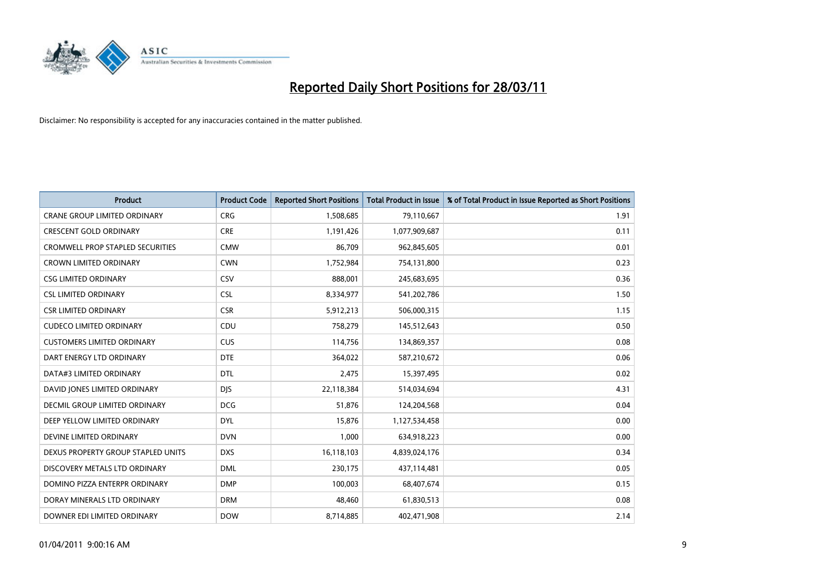

| Product                                 | <b>Product Code</b> | <b>Reported Short Positions</b> | <b>Total Product in Issue</b> | % of Total Product in Issue Reported as Short Positions |
|-----------------------------------------|---------------------|---------------------------------|-------------------------------|---------------------------------------------------------|
| <b>CRANE GROUP LIMITED ORDINARY</b>     | <b>CRG</b>          | 1,508,685                       | 79,110,667                    | 1.91                                                    |
| <b>CRESCENT GOLD ORDINARY</b>           | <b>CRE</b>          | 1,191,426                       | 1,077,909,687                 | 0.11                                                    |
| <b>CROMWELL PROP STAPLED SECURITIES</b> | <b>CMW</b>          | 86,709                          | 962,845,605                   | 0.01                                                    |
| <b>CROWN LIMITED ORDINARY</b>           | <b>CWN</b>          | 1,752,984                       | 754,131,800                   | 0.23                                                    |
| <b>CSG LIMITED ORDINARY</b>             | CSV                 | 888,001                         | 245,683,695                   | 0.36                                                    |
| <b>CSL LIMITED ORDINARY</b>             | <b>CSL</b>          | 8,334,977                       | 541,202,786                   | 1.50                                                    |
| <b>CSR LIMITED ORDINARY</b>             | <b>CSR</b>          | 5,912,213                       | 506,000,315                   | 1.15                                                    |
| <b>CUDECO LIMITED ORDINARY</b>          | CDU                 | 758,279                         | 145,512,643                   | 0.50                                                    |
| <b>CUSTOMERS LIMITED ORDINARY</b>       | <b>CUS</b>          | 114,756                         | 134,869,357                   | 0.08                                                    |
| DART ENERGY LTD ORDINARY                | <b>DTE</b>          | 364,022                         | 587,210,672                   | 0.06                                                    |
| DATA#3 LIMITED ORDINARY                 | <b>DTL</b>          | 2,475                           | 15,397,495                    | 0.02                                                    |
| DAVID JONES LIMITED ORDINARY            | <b>DJS</b>          | 22,118,384                      | 514,034,694                   | 4.31                                                    |
| <b>DECMIL GROUP LIMITED ORDINARY</b>    | <b>DCG</b>          | 51,876                          | 124,204,568                   | 0.04                                                    |
| DEEP YELLOW LIMITED ORDINARY            | <b>DYL</b>          | 15,876                          | 1,127,534,458                 | 0.00                                                    |
| DEVINE LIMITED ORDINARY                 | <b>DVN</b>          | 1,000                           | 634,918,223                   | 0.00                                                    |
| DEXUS PROPERTY GROUP STAPLED UNITS      | <b>DXS</b>          | 16,118,103                      | 4,839,024,176                 | 0.34                                                    |
| DISCOVERY METALS LTD ORDINARY           | <b>DML</b>          | 230,175                         | 437,114,481                   | 0.05                                                    |
| DOMINO PIZZA ENTERPR ORDINARY           | <b>DMP</b>          | 100,003                         | 68,407,674                    | 0.15                                                    |
| DORAY MINERALS LTD ORDINARY             | <b>DRM</b>          | 48,460                          | 61,830,513                    | 0.08                                                    |
| DOWNER EDI LIMITED ORDINARY             | <b>DOW</b>          | 8,714,885                       | 402,471,908                   | 2.14                                                    |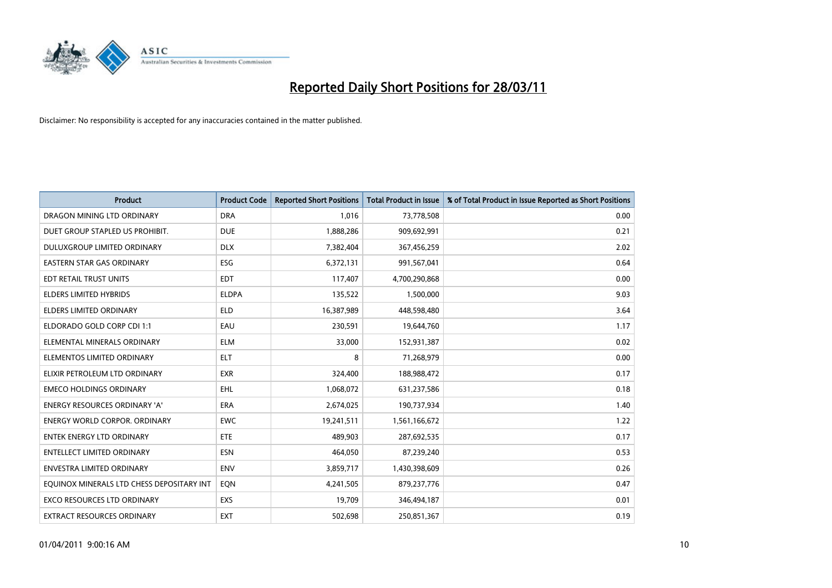

| <b>Product</b>                            | <b>Product Code</b> | <b>Reported Short Positions</b> | <b>Total Product in Issue</b> | % of Total Product in Issue Reported as Short Positions |
|-------------------------------------------|---------------------|---------------------------------|-------------------------------|---------------------------------------------------------|
| DRAGON MINING LTD ORDINARY                | <b>DRA</b>          | 1,016                           | 73,778,508                    | 0.00                                                    |
| DUET GROUP STAPLED US PROHIBIT.           | <b>DUE</b>          | 1,888,286                       | 909,692,991                   | 0.21                                                    |
| DULUXGROUP LIMITED ORDINARY               | <b>DLX</b>          | 7,382,404                       | 367,456,259                   | 2.02                                                    |
| <b>EASTERN STAR GAS ORDINARY</b>          | ESG                 | 6,372,131                       | 991,567,041                   | 0.64                                                    |
| EDT RETAIL TRUST UNITS                    | <b>EDT</b>          | 117,407                         | 4,700,290,868                 | 0.00                                                    |
| <b>ELDERS LIMITED HYBRIDS</b>             | <b>ELDPA</b>        | 135,522                         | 1,500,000                     | 9.03                                                    |
| ELDERS LIMITED ORDINARY                   | <b>ELD</b>          | 16,387,989                      | 448,598,480                   | 3.64                                                    |
| ELDORADO GOLD CORP CDI 1:1                | EAU                 | 230,591                         | 19,644,760                    | 1.17                                                    |
| ELEMENTAL MINERALS ORDINARY               | <b>ELM</b>          | 33,000                          | 152,931,387                   | 0.02                                                    |
| ELEMENTOS LIMITED ORDINARY                | <b>ELT</b>          | 8                               | 71,268,979                    | 0.00                                                    |
| ELIXIR PETROLEUM LTD ORDINARY             | <b>EXR</b>          | 324,400                         | 188,988,472                   | 0.17                                                    |
| <b>EMECO HOLDINGS ORDINARY</b>            | <b>EHL</b>          | 1,068,072                       | 631,237,586                   | 0.18                                                    |
| ENERGY RESOURCES ORDINARY 'A'             | ERA                 | 2,674,025                       | 190,737,934                   | 1.40                                                    |
| <b>ENERGY WORLD CORPOR, ORDINARY</b>      | <b>EWC</b>          | 19,241,511                      | 1,561,166,672                 | 1.22                                                    |
| <b>ENTEK ENERGY LTD ORDINARY</b>          | ETE                 | 489.903                         | 287,692,535                   | 0.17                                                    |
| ENTELLECT LIMITED ORDINARY                | <b>ESN</b>          | 464,050                         | 87,239,240                    | 0.53                                                    |
| ENVESTRA LIMITED ORDINARY                 | <b>ENV</b>          | 3,859,717                       | 1,430,398,609                 | 0.26                                                    |
| EQUINOX MINERALS LTD CHESS DEPOSITARY INT | EQN                 | 4,241,505                       | 879,237,776                   | 0.47                                                    |
| <b>EXCO RESOURCES LTD ORDINARY</b>        | EXS                 | 19,709                          | 346,494,187                   | 0.01                                                    |
| EXTRACT RESOURCES ORDINARY                | <b>EXT</b>          | 502,698                         | 250,851,367                   | 0.19                                                    |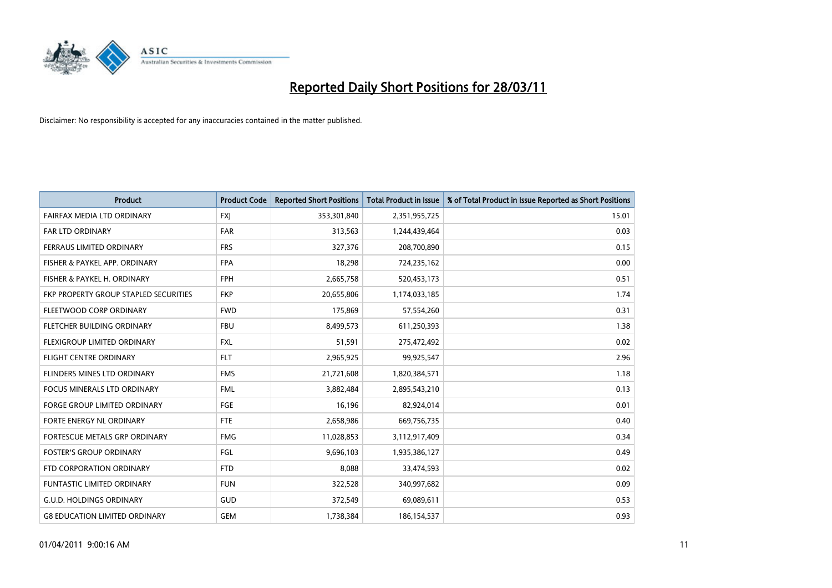

| Product                               | <b>Product Code</b> | <b>Reported Short Positions</b> | Total Product in Issue | % of Total Product in Issue Reported as Short Positions |
|---------------------------------------|---------------------|---------------------------------|------------------------|---------------------------------------------------------|
| FAIRFAX MEDIA LTD ORDINARY            | <b>FXJ</b>          | 353,301,840                     | 2,351,955,725          | 15.01                                                   |
| FAR LTD ORDINARY                      | <b>FAR</b>          | 313,563                         | 1,244,439,464          | 0.03                                                    |
| FERRAUS LIMITED ORDINARY              | <b>FRS</b>          | 327,376                         | 208,700,890            | 0.15                                                    |
| FISHER & PAYKEL APP. ORDINARY         | <b>FPA</b>          | 18,298                          | 724,235,162            | 0.00                                                    |
| FISHER & PAYKEL H. ORDINARY           | <b>FPH</b>          | 2,665,758                       | 520,453,173            | 0.51                                                    |
| FKP PROPERTY GROUP STAPLED SECURITIES | <b>FKP</b>          | 20,655,806                      | 1,174,033,185          | 1.74                                                    |
| FLEETWOOD CORP ORDINARY               | <b>FWD</b>          | 175,869                         | 57,554,260             | 0.31                                                    |
| FLETCHER BUILDING ORDINARY            | <b>FBU</b>          | 8,499,573                       | 611,250,393            | 1.38                                                    |
| FLEXIGROUP LIMITED ORDINARY           | <b>FXL</b>          | 51,591                          | 275,472,492            | 0.02                                                    |
| <b>FLIGHT CENTRE ORDINARY</b>         | <b>FLT</b>          | 2,965,925                       | 99,925,547             | 2.96                                                    |
| FLINDERS MINES LTD ORDINARY           | <b>FMS</b>          | 21,721,608                      | 1,820,384,571          | 1.18                                                    |
| FOCUS MINERALS LTD ORDINARY           | <b>FML</b>          | 3,882,484                       | 2,895,543,210          | 0.13                                                    |
| <b>FORGE GROUP LIMITED ORDINARY</b>   | FGE                 | 16,196                          | 82,924,014             | 0.01                                                    |
| FORTE ENERGY NL ORDINARY              | <b>FTE</b>          | 2,658,986                       | 669,756,735            | 0.40                                                    |
| FORTESCUE METALS GRP ORDINARY         | <b>FMG</b>          | 11,028,853                      | 3,112,917,409          | 0.34                                                    |
| <b>FOSTER'S GROUP ORDINARY</b>        | <b>FGL</b>          | 9,696,103                       | 1,935,386,127          | 0.49                                                    |
| FTD CORPORATION ORDINARY              | <b>FTD</b>          | 8,088                           | 33,474,593             | 0.02                                                    |
| FUNTASTIC LIMITED ORDINARY            | <b>FUN</b>          | 322,528                         | 340,997,682            | 0.09                                                    |
| <b>G.U.D. HOLDINGS ORDINARY</b>       | GUD                 | 372,549                         | 69,089,611             | 0.53                                                    |
| <b>G8 EDUCATION LIMITED ORDINARY</b>  | <b>GEM</b>          | 1,738,384                       | 186,154,537            | 0.93                                                    |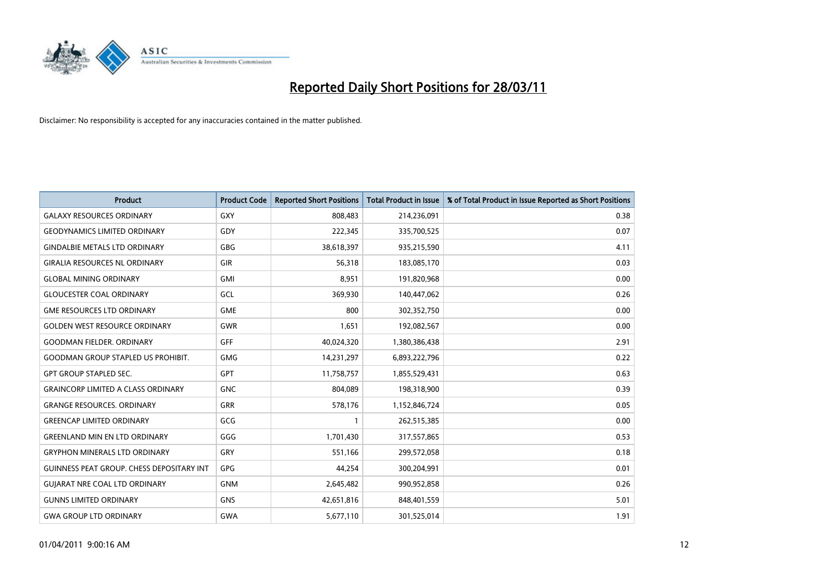

| <b>Product</b>                            | <b>Product Code</b> | <b>Reported Short Positions</b> | <b>Total Product in Issue</b> | % of Total Product in Issue Reported as Short Positions |
|-------------------------------------------|---------------------|---------------------------------|-------------------------------|---------------------------------------------------------|
| <b>GALAXY RESOURCES ORDINARY</b>          | <b>GXY</b>          | 808,483                         | 214,236,091                   | 0.38                                                    |
| <b>GEODYNAMICS LIMITED ORDINARY</b>       | GDY                 | 222,345                         | 335,700,525                   | 0.07                                                    |
| <b>GINDALBIE METALS LTD ORDINARY</b>      | <b>GBG</b>          | 38,618,397                      | 935,215,590                   | 4.11                                                    |
| <b>GIRALIA RESOURCES NL ORDINARY</b>      | <b>GIR</b>          | 56,318                          | 183,085,170                   | 0.03                                                    |
| <b>GLOBAL MINING ORDINARY</b>             | <b>GMI</b>          | 8,951                           | 191,820,968                   | 0.00                                                    |
| <b>GLOUCESTER COAL ORDINARY</b>           | <b>GCL</b>          | 369,930                         | 140,447,062                   | 0.26                                                    |
| <b>GME RESOURCES LTD ORDINARY</b>         | <b>GME</b>          | 800                             | 302,352,750                   | 0.00                                                    |
| <b>GOLDEN WEST RESOURCE ORDINARY</b>      | <b>GWR</b>          | 1,651                           | 192,082,567                   | 0.00                                                    |
| <b>GOODMAN FIELDER, ORDINARY</b>          | GFF                 | 40,024,320                      | 1,380,386,438                 | 2.91                                                    |
| <b>GOODMAN GROUP STAPLED US PROHIBIT.</b> | <b>GMG</b>          | 14,231,297                      | 6,893,222,796                 | 0.22                                                    |
| <b>GPT GROUP STAPLED SEC.</b>             | <b>GPT</b>          | 11,758,757                      | 1,855,529,431                 | 0.63                                                    |
| <b>GRAINCORP LIMITED A CLASS ORDINARY</b> | <b>GNC</b>          | 804,089                         | 198,318,900                   | 0.39                                                    |
| <b>GRANGE RESOURCES. ORDINARY</b>         | <b>GRR</b>          | 578,176                         | 1,152,846,724                 | 0.05                                                    |
| <b>GREENCAP LIMITED ORDINARY</b>          | GCG                 |                                 | 262,515,385                   | 0.00                                                    |
| <b>GREENLAND MIN EN LTD ORDINARY</b>      | GGG                 | 1,701,430                       | 317,557,865                   | 0.53                                                    |
| <b>GRYPHON MINERALS LTD ORDINARY</b>      | GRY                 | 551,166                         | 299,572,058                   | 0.18                                                    |
| GUINNESS PEAT GROUP. CHESS DEPOSITARY INT | <b>GPG</b>          | 44,254                          | 300,204,991                   | 0.01                                                    |
| <b>GUIARAT NRE COAL LTD ORDINARY</b>      | <b>GNM</b>          | 2,645,482                       | 990,952,858                   | 0.26                                                    |
| <b>GUNNS LIMITED ORDINARY</b>             | <b>GNS</b>          | 42,651,816                      | 848,401,559                   | 5.01                                                    |
| <b>GWA GROUP LTD ORDINARY</b>             | GWA                 | 5,677,110                       | 301,525,014                   | 1.91                                                    |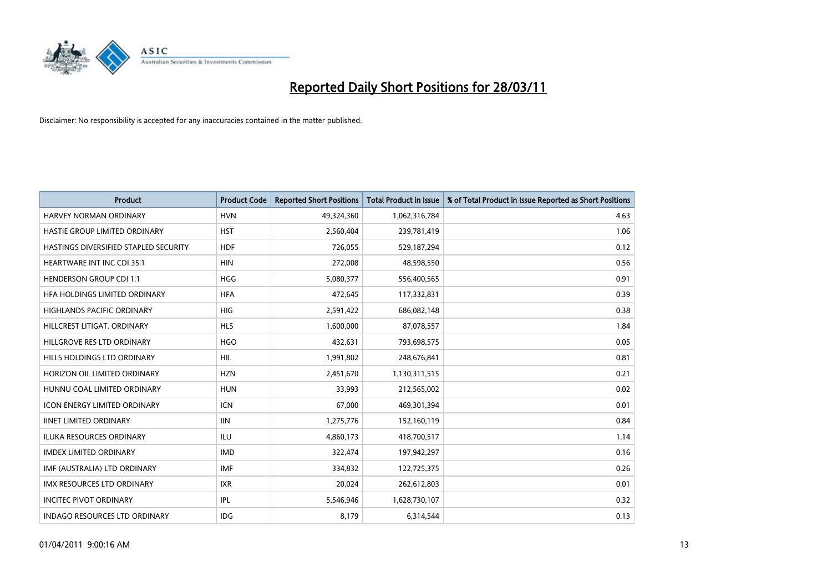

| Product                               | <b>Product Code</b> | <b>Reported Short Positions</b> | <b>Total Product in Issue</b> | % of Total Product in Issue Reported as Short Positions |
|---------------------------------------|---------------------|---------------------------------|-------------------------------|---------------------------------------------------------|
| <b>HARVEY NORMAN ORDINARY</b>         | <b>HVN</b>          | 49,324,360                      | 1,062,316,784                 | 4.63                                                    |
| HASTIE GROUP LIMITED ORDINARY         | <b>HST</b>          | 2,560,404                       | 239,781,419                   | 1.06                                                    |
| HASTINGS DIVERSIFIED STAPLED SECURITY | <b>HDF</b>          | 726,055                         | 529,187,294                   | 0.12                                                    |
| HEARTWARE INT INC CDI 35:1            | <b>HIN</b>          | 272,008                         | 48,598,550                    | 0.56                                                    |
| <b>HENDERSON GROUP CDI 1:1</b>        | <b>HGG</b>          | 5,080,377                       | 556,400,565                   | 0.91                                                    |
| HFA HOLDINGS LIMITED ORDINARY         | <b>HFA</b>          | 472,645                         | 117,332,831                   | 0.39                                                    |
| <b>HIGHLANDS PACIFIC ORDINARY</b>     | <b>HIG</b>          | 2,591,422                       | 686,082,148                   | 0.38                                                    |
| HILLCREST LITIGAT, ORDINARY           | <b>HLS</b>          | 1,600,000                       | 87,078,557                    | 1.84                                                    |
| HILLGROVE RES LTD ORDINARY            | <b>HGO</b>          | 432,631                         | 793,698,575                   | 0.05                                                    |
| HILLS HOLDINGS LTD ORDINARY           | <b>HIL</b>          | 1,991,802                       | 248,676,841                   | 0.81                                                    |
| HORIZON OIL LIMITED ORDINARY          | <b>HZN</b>          | 2,451,670                       | 1,130,311,515                 | 0.21                                                    |
| HUNNU COAL LIMITED ORDINARY           | <b>HUN</b>          | 33,993                          | 212,565,002                   | 0.02                                                    |
| <b>ICON ENERGY LIMITED ORDINARY</b>   | <b>ICN</b>          | 67,000                          | 469,301,394                   | 0.01                                                    |
| <b>IINET LIMITED ORDINARY</b>         | <b>IIN</b>          | 1,275,776                       | 152,160,119                   | 0.84                                                    |
| <b>ILUKA RESOURCES ORDINARY</b>       | <b>ILU</b>          | 4,860,173                       | 418,700,517                   | 1.14                                                    |
| <b>IMDEX LIMITED ORDINARY</b>         | <b>IMD</b>          | 322,474                         | 197,942,297                   | 0.16                                                    |
| IMF (AUSTRALIA) LTD ORDINARY          | <b>IMF</b>          | 334,832                         | 122,725,375                   | 0.26                                                    |
| IMX RESOURCES LTD ORDINARY            | <b>IXR</b>          | 20,024                          | 262,612,803                   | 0.01                                                    |
| <b>INCITEC PIVOT ORDINARY</b>         | IPL                 | 5,546,946                       | 1,628,730,107                 | 0.32                                                    |
| INDAGO RESOURCES LTD ORDINARY         | IDG                 | 8,179                           | 6,314,544                     | 0.13                                                    |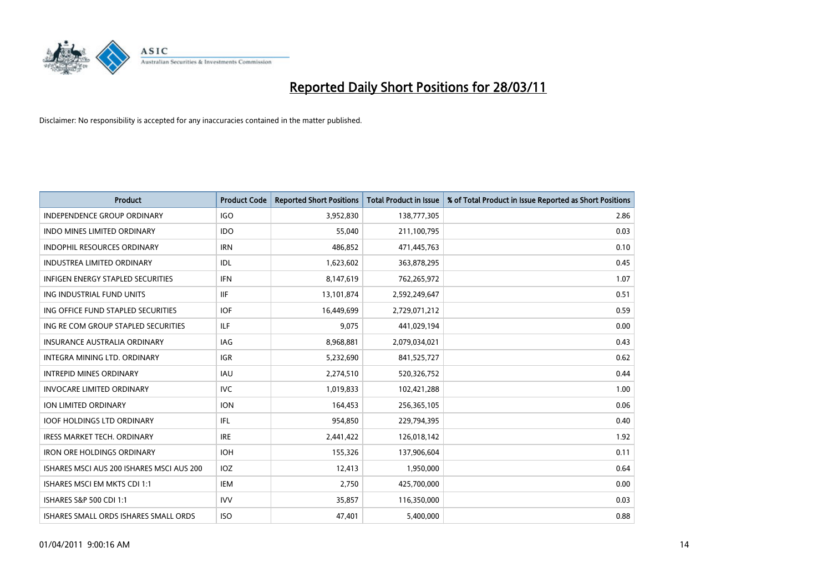

| Product                                   | <b>Product Code</b> | <b>Reported Short Positions</b> | <b>Total Product in Issue</b> | % of Total Product in Issue Reported as Short Positions |
|-------------------------------------------|---------------------|---------------------------------|-------------------------------|---------------------------------------------------------|
| <b>INDEPENDENCE GROUP ORDINARY</b>        | <b>IGO</b>          | 3,952,830                       | 138,777,305                   | 2.86                                                    |
| <b>INDO MINES LIMITED ORDINARY</b>        | <b>IDO</b>          | 55.040                          | 211,100,795                   | 0.03                                                    |
| <b>INDOPHIL RESOURCES ORDINARY</b>        | <b>IRN</b>          | 486,852                         | 471,445,763                   | 0.10                                                    |
| INDUSTREA LIMITED ORDINARY                | IDL                 | 1,623,602                       | 363,878,295                   | 0.45                                                    |
| <b>INFIGEN ENERGY STAPLED SECURITIES</b>  | <b>IFN</b>          | 8,147,619                       | 762,265,972                   | 1.07                                                    |
| ING INDUSTRIAL FUND UNITS                 | <b>IIF</b>          | 13,101,874                      | 2,592,249,647                 | 0.51                                                    |
| ING OFFICE FUND STAPLED SECURITIES        | <b>IOF</b>          | 16.449.699                      | 2,729,071,212                 | 0.59                                                    |
| ING RE COM GROUP STAPLED SECURITIES       | ILF                 | 9,075                           | 441,029,194                   | 0.00                                                    |
| INSURANCE AUSTRALIA ORDINARY              | <b>IAG</b>          | 8,968,881                       | 2,079,034,021                 | 0.43                                                    |
| INTEGRA MINING LTD, ORDINARY              | <b>IGR</b>          | 5,232,690                       | 841,525,727                   | 0.62                                                    |
| <b>INTREPID MINES ORDINARY</b>            | <b>IAU</b>          | 2,274,510                       | 520,326,752                   | 0.44                                                    |
| <b>INVOCARE LIMITED ORDINARY</b>          | <b>IVC</b>          | 1,019,833                       | 102,421,288                   | 1.00                                                    |
| ION LIMITED ORDINARY                      | <b>ION</b>          | 164,453                         | 256,365,105                   | 0.06                                                    |
| <b>IOOF HOLDINGS LTD ORDINARY</b>         | IFL.                | 954,850                         | 229,794,395                   | 0.40                                                    |
| <b>IRESS MARKET TECH. ORDINARY</b>        | <b>IRE</b>          | 2,441,422                       | 126,018,142                   | 1.92                                                    |
| <b>IRON ORE HOLDINGS ORDINARY</b>         | <b>IOH</b>          | 155,326                         | 137,906,604                   | 0.11                                                    |
| ISHARES MSCI AUS 200 ISHARES MSCI AUS 200 | IOZ                 | 12,413                          | 1,950,000                     | 0.64                                                    |
| ISHARES MSCI EM MKTS CDI 1:1              | <b>IEM</b>          | 2,750                           | 425,700,000                   | 0.00                                                    |
| ISHARES S&P 500 CDI 1:1                   | <b>IVV</b>          | 35,857                          | 116,350,000                   | 0.03                                                    |
| ISHARES SMALL ORDS ISHARES SMALL ORDS     | <b>ISO</b>          | 47,401                          | 5,400,000                     | 0.88                                                    |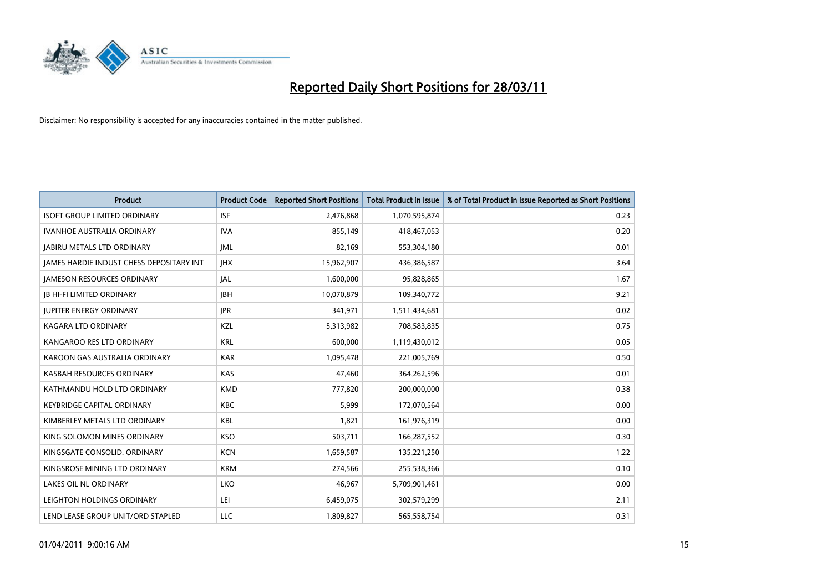

| Product                                  | <b>Product Code</b> | <b>Reported Short Positions</b> | Total Product in Issue | % of Total Product in Issue Reported as Short Positions |
|------------------------------------------|---------------------|---------------------------------|------------------------|---------------------------------------------------------|
| <b>ISOFT GROUP LIMITED ORDINARY</b>      | <b>ISF</b>          | 2,476,868                       | 1,070,595,874          | 0.23                                                    |
| <b>IVANHOE AUSTRALIA ORDINARY</b>        | <b>IVA</b>          | 855,149                         | 418,467,053            | 0.20                                                    |
| <b>JABIRU METALS LTD ORDINARY</b>        | <b>JML</b>          | 82,169                          | 553,304,180            | 0.01                                                    |
| JAMES HARDIE INDUST CHESS DEPOSITARY INT | <b>IHX</b>          | 15,962,907                      | 436,386,587            | 3.64                                                    |
| <b>IAMESON RESOURCES ORDINARY</b>        | <b>JAL</b>          | 1,600,000                       | 95,828,865             | 1.67                                                    |
| <b>JB HI-FI LIMITED ORDINARY</b>         | <b>IBH</b>          | 10,070,879                      | 109,340,772            | 9.21                                                    |
| <b>JUPITER ENERGY ORDINARY</b>           | <b>IPR</b>          | 341,971                         | 1,511,434,681          | 0.02                                                    |
| <b>KAGARA LTD ORDINARY</b>               | KZL                 | 5,313,982                       | 708,583,835            | 0.75                                                    |
| KANGAROO RES LTD ORDINARY                | <b>KRL</b>          | 600,000                         | 1,119,430,012          | 0.05                                                    |
| KAROON GAS AUSTRALIA ORDINARY            | <b>KAR</b>          | 1,095,478                       | 221,005,769            | 0.50                                                    |
| KASBAH RESOURCES ORDINARY                | <b>KAS</b>          | 47,460                          | 364,262,596            | 0.01                                                    |
| KATHMANDU HOLD LTD ORDINARY              | <b>KMD</b>          | 777,820                         | 200,000,000            | 0.38                                                    |
| <b>KEYBRIDGE CAPITAL ORDINARY</b>        | <b>KBC</b>          | 5,999                           | 172,070,564            | 0.00                                                    |
| KIMBERLEY METALS LTD ORDINARY            | <b>KBL</b>          | 1,821                           | 161,976,319            | 0.00                                                    |
| KING SOLOMON MINES ORDINARY              | KSO                 | 503,711                         | 166,287,552            | 0.30                                                    |
| KINGSGATE CONSOLID. ORDINARY             | <b>KCN</b>          | 1,659,587                       | 135,221,250            | 1.22                                                    |
| KINGSROSE MINING LTD ORDINARY            | <b>KRM</b>          | 274,566                         | 255,538,366            | 0.10                                                    |
| LAKES OIL NL ORDINARY                    | LKO                 | 46,967                          | 5,709,901,461          | 0.00                                                    |
| LEIGHTON HOLDINGS ORDINARY               | LEI                 | 6,459,075                       | 302,579,299            | 2.11                                                    |
| LEND LEASE GROUP UNIT/ORD STAPLED        | LLC                 | 1,809,827                       | 565,558,754            | 0.31                                                    |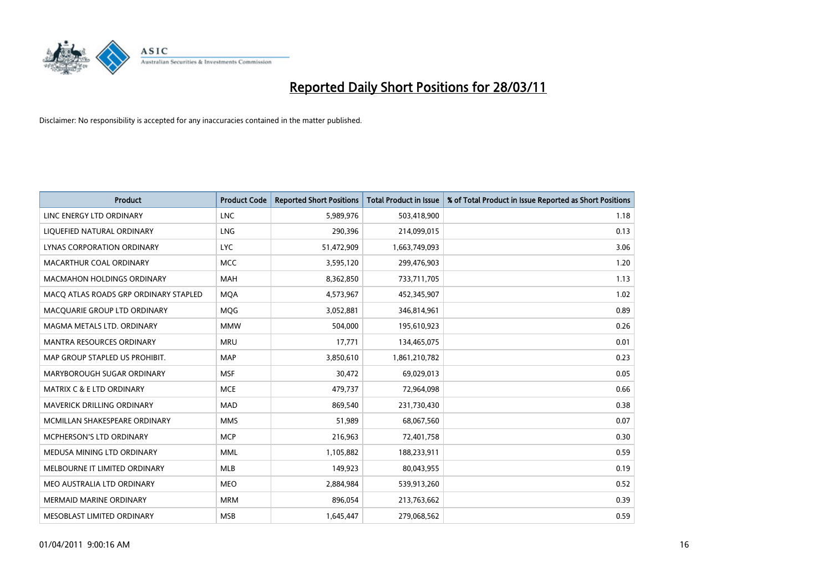

| Product                               | <b>Product Code</b> | <b>Reported Short Positions</b> | <b>Total Product in Issue</b> | % of Total Product in Issue Reported as Short Positions |
|---------------------------------------|---------------------|---------------------------------|-------------------------------|---------------------------------------------------------|
| LINC ENERGY LTD ORDINARY              | <b>LNC</b>          | 5,989,976                       | 503,418,900                   | 1.18                                                    |
| LIQUEFIED NATURAL ORDINARY            | <b>LNG</b>          | 290,396                         | 214,099,015                   | 0.13                                                    |
| <b>LYNAS CORPORATION ORDINARY</b>     | <b>LYC</b>          | 51,472,909                      | 1,663,749,093                 | 3.06                                                    |
| MACARTHUR COAL ORDINARY               | <b>MCC</b>          | 3,595,120                       | 299,476,903                   | 1.20                                                    |
| <b>MACMAHON HOLDINGS ORDINARY</b>     | <b>MAH</b>          | 8,362,850                       | 733,711,705                   | 1.13                                                    |
| MACQ ATLAS ROADS GRP ORDINARY STAPLED | <b>MQA</b>          | 4,573,967                       | 452,345,907                   | 1.02                                                    |
| MACQUARIE GROUP LTD ORDINARY          | <b>MOG</b>          | 3,052,881                       | 346,814,961                   | 0.89                                                    |
| MAGMA METALS LTD. ORDINARY            | <b>MMW</b>          | 504,000                         | 195,610,923                   | 0.26                                                    |
| MANTRA RESOURCES ORDINARY             | <b>MRU</b>          | 17,771                          | 134,465,075                   | 0.01                                                    |
| MAP GROUP STAPLED US PROHIBIT.        | <b>MAP</b>          | 3,850,610                       | 1,861,210,782                 | 0.23                                                    |
| MARYBOROUGH SUGAR ORDINARY            | <b>MSF</b>          | 30,472                          | 69,029,013                    | 0.05                                                    |
| MATRIX C & E LTD ORDINARY             | <b>MCE</b>          | 479,737                         | 72,964,098                    | 0.66                                                    |
| <b>MAVERICK DRILLING ORDINARY</b>     | <b>MAD</b>          | 869.540                         | 231,730,430                   | 0.38                                                    |
| MCMILLAN SHAKESPEARE ORDINARY         | <b>MMS</b>          | 51,989                          | 68,067,560                    | 0.07                                                    |
| <b>MCPHERSON'S LTD ORDINARY</b>       | <b>MCP</b>          | 216,963                         | 72,401,758                    | 0.30                                                    |
| MEDUSA MINING LTD ORDINARY            | <b>MML</b>          | 1,105,882                       | 188,233,911                   | 0.59                                                    |
| MELBOURNE IT LIMITED ORDINARY         | <b>MLB</b>          | 149,923                         | 80,043,955                    | 0.19                                                    |
| MEO AUSTRALIA LTD ORDINARY            | <b>MEO</b>          | 2,884,984                       | 539,913,260                   | 0.52                                                    |
| <b>MERMAID MARINE ORDINARY</b>        | <b>MRM</b>          | 896,054                         | 213,763,662                   | 0.39                                                    |
| MESOBLAST LIMITED ORDINARY            | <b>MSB</b>          | 1,645,447                       | 279,068,562                   | 0.59                                                    |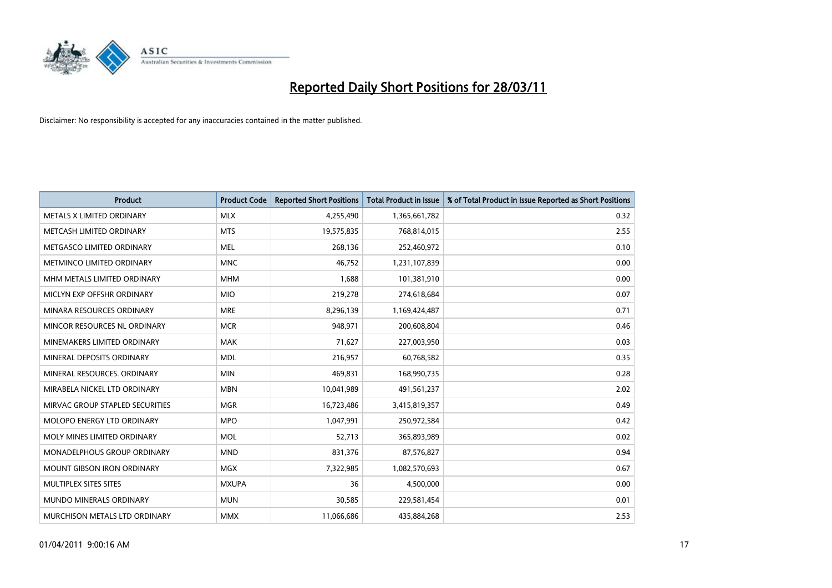

| <b>Product</b>                    | <b>Product Code</b> | <b>Reported Short Positions</b> | Total Product in Issue | % of Total Product in Issue Reported as Short Positions |
|-----------------------------------|---------------------|---------------------------------|------------------------|---------------------------------------------------------|
| METALS X LIMITED ORDINARY         | <b>MLX</b>          | 4,255,490                       | 1,365,661,782          | 0.32                                                    |
| METCASH LIMITED ORDINARY          | <b>MTS</b>          | 19,575,835                      | 768,814,015            | 2.55                                                    |
| METGASCO LIMITED ORDINARY         | <b>MEL</b>          | 268,136                         | 252,460,972            | 0.10                                                    |
| METMINCO LIMITED ORDINARY         | <b>MNC</b>          | 46,752                          | 1,231,107,839          | 0.00                                                    |
| MHM METALS LIMITED ORDINARY       | <b>MHM</b>          | 1,688                           | 101,381,910            | 0.00                                                    |
| MICLYN EXP OFFSHR ORDINARY        | <b>MIO</b>          | 219,278                         | 274,618,684            | 0.07                                                    |
| MINARA RESOURCES ORDINARY         | <b>MRE</b>          | 8,296,139                       | 1,169,424,487          | 0.71                                                    |
| MINCOR RESOURCES NL ORDINARY      | <b>MCR</b>          | 948,971                         | 200,608,804            | 0.46                                                    |
| MINEMAKERS LIMITED ORDINARY       | <b>MAK</b>          | 71,627                          | 227,003,950            | 0.03                                                    |
| MINERAL DEPOSITS ORDINARY         | <b>MDL</b>          | 216,957                         | 60,768,582             | 0.35                                                    |
| MINERAL RESOURCES, ORDINARY       | <b>MIN</b>          | 469,831                         | 168,990,735            | 0.28                                                    |
| MIRABELA NICKEL LTD ORDINARY      | <b>MBN</b>          | 10,041,989                      | 491,561,237            | 2.02                                                    |
| MIRVAC GROUP STAPLED SECURITIES   | <b>MGR</b>          | 16,723,486                      | 3,415,819,357          | 0.49                                                    |
| MOLOPO ENERGY LTD ORDINARY        | <b>MPO</b>          | 1.047.991                       | 250,972,584            | 0.42                                                    |
| MOLY MINES LIMITED ORDINARY       | <b>MOL</b>          | 52,713                          | 365,893,989            | 0.02                                                    |
| MONADELPHOUS GROUP ORDINARY       | <b>MND</b>          | 831,376                         | 87,576,827             | 0.94                                                    |
| <b>MOUNT GIBSON IRON ORDINARY</b> | <b>MGX</b>          | 7,322,985                       | 1,082,570,693          | 0.67                                                    |
| MULTIPLEX SITES SITES             | <b>MXUPA</b>        | 36                              | 4,500,000              | 0.00                                                    |
| <b>MUNDO MINERALS ORDINARY</b>    | <b>MUN</b>          | 30,585                          | 229,581,454            | 0.01                                                    |
| MURCHISON METALS LTD ORDINARY     | <b>MMX</b>          | 11,066,686                      | 435.884.268            | 2.53                                                    |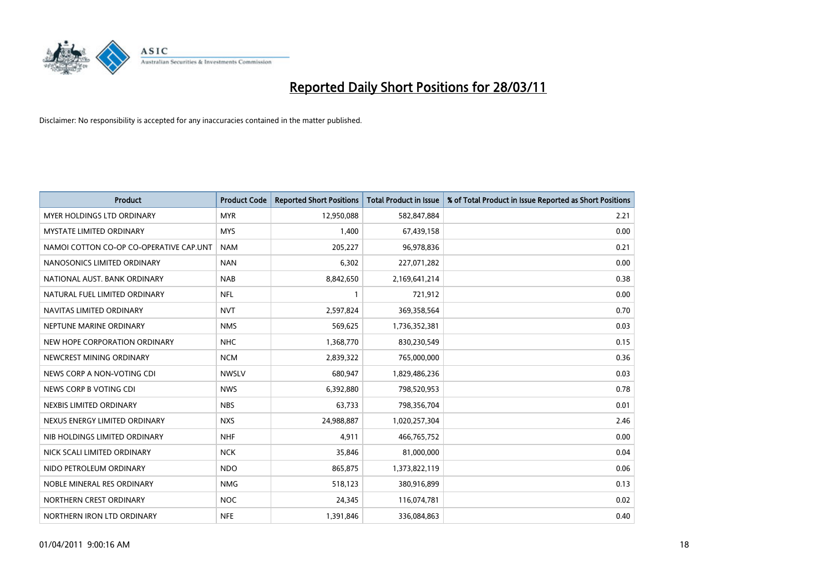

| Product                                 | <b>Product Code</b> | <b>Reported Short Positions</b> | <b>Total Product in Issue</b> | % of Total Product in Issue Reported as Short Positions |
|-----------------------------------------|---------------------|---------------------------------|-------------------------------|---------------------------------------------------------|
| <b>MYER HOLDINGS LTD ORDINARY</b>       | <b>MYR</b>          | 12,950,088                      | 582,847,884                   | 2.21                                                    |
| <b>MYSTATE LIMITED ORDINARY</b>         | <b>MYS</b>          | 1,400                           | 67,439,158                    | 0.00                                                    |
| NAMOI COTTON CO-OP CO-OPERATIVE CAP.UNT | <b>NAM</b>          | 205,227                         | 96,978,836                    | 0.21                                                    |
| NANOSONICS LIMITED ORDINARY             | <b>NAN</b>          | 6,302                           | 227,071,282                   | 0.00                                                    |
| NATIONAL AUST, BANK ORDINARY            | <b>NAB</b>          | 8,842,650                       | 2,169,641,214                 | 0.38                                                    |
| NATURAL FUEL LIMITED ORDINARY           | <b>NFL</b>          |                                 | 721,912                       | 0.00                                                    |
| NAVITAS LIMITED ORDINARY                | <b>NVT</b>          | 2,597,824                       | 369,358,564                   | 0.70                                                    |
| NEPTUNE MARINE ORDINARY                 | <b>NMS</b>          | 569,625                         | 1,736,352,381                 | 0.03                                                    |
| NEW HOPE CORPORATION ORDINARY           | <b>NHC</b>          | 1,368,770                       | 830,230,549                   | 0.15                                                    |
| NEWCREST MINING ORDINARY                | <b>NCM</b>          | 2,839,322                       | 765,000,000                   | 0.36                                                    |
| NEWS CORP A NON-VOTING CDI              | <b>NWSLV</b>        | 680,947                         | 1,829,486,236                 | 0.03                                                    |
| NEWS CORP B VOTING CDI                  | <b>NWS</b>          | 6,392,880                       | 798,520,953                   | 0.78                                                    |
| NEXBIS LIMITED ORDINARY                 | <b>NBS</b>          | 63,733                          | 798,356,704                   | 0.01                                                    |
| NEXUS ENERGY LIMITED ORDINARY           | <b>NXS</b>          | 24,988,887                      | 1,020,257,304                 | 2.46                                                    |
| NIB HOLDINGS LIMITED ORDINARY           | <b>NHF</b>          | 4,911                           | 466,765,752                   | 0.00                                                    |
| NICK SCALI LIMITED ORDINARY             | <b>NCK</b>          | 35,846                          | 81,000,000                    | 0.04                                                    |
| NIDO PETROLEUM ORDINARY                 | <b>NDO</b>          | 865,875                         | 1,373,822,119                 | 0.06                                                    |
| NOBLE MINERAL RES ORDINARY              | <b>NMG</b>          | 518,123                         | 380,916,899                   | 0.13                                                    |
| NORTHERN CREST ORDINARY                 | <b>NOC</b>          | 24,345                          | 116,074,781                   | 0.02                                                    |
| NORTHERN IRON LTD ORDINARY              | <b>NFE</b>          | 1,391,846                       | 336,084,863                   | 0.40                                                    |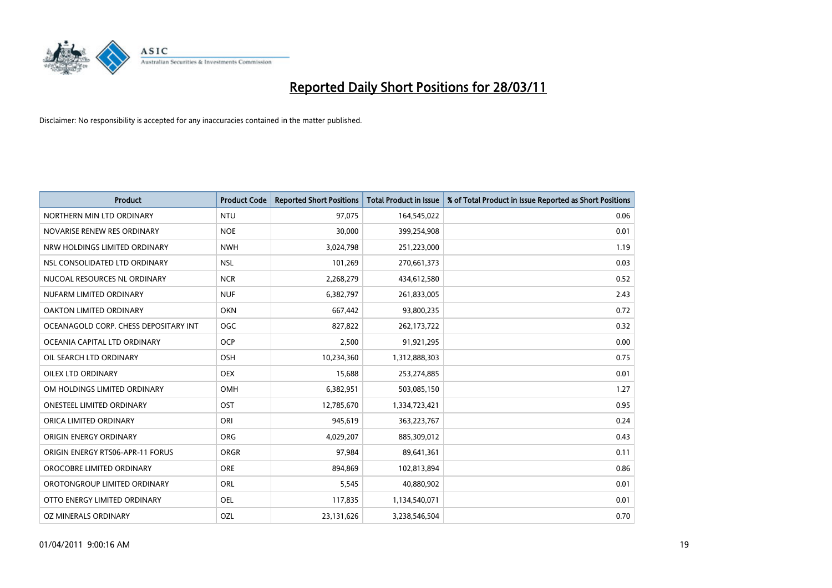

| Product                               | <b>Product Code</b> | <b>Reported Short Positions</b> | <b>Total Product in Issue</b> | % of Total Product in Issue Reported as Short Positions |
|---------------------------------------|---------------------|---------------------------------|-------------------------------|---------------------------------------------------------|
| NORTHERN MIN LTD ORDINARY             | <b>NTU</b>          | 97,075                          | 164,545,022                   | 0.06                                                    |
| NOVARISE RENEW RES ORDINARY           | <b>NOE</b>          | 30,000                          | 399,254,908                   | 0.01                                                    |
| NRW HOLDINGS LIMITED ORDINARY         | <b>NWH</b>          | 3,024,798                       | 251,223,000                   | 1.19                                                    |
| NSL CONSOLIDATED LTD ORDINARY         | <b>NSL</b>          | 101,269                         | 270,661,373                   | 0.03                                                    |
| NUCOAL RESOURCES NL ORDINARY          | <b>NCR</b>          | 2,268,279                       | 434,612,580                   | 0.52                                                    |
| NUFARM LIMITED ORDINARY               | <b>NUF</b>          | 6,382,797                       | 261,833,005                   | 2.43                                                    |
| OAKTON LIMITED ORDINARY               | <b>OKN</b>          | 667,442                         | 93,800,235                    | 0.72                                                    |
| OCEANAGOLD CORP. CHESS DEPOSITARY INT | <b>OGC</b>          | 827,822                         | 262, 173, 722                 | 0.32                                                    |
| OCEANIA CAPITAL LTD ORDINARY          | <b>OCP</b>          | 2,500                           | 91,921,295                    | 0.00                                                    |
| OIL SEARCH LTD ORDINARY               | OSH                 | 10,234,360                      | 1,312,888,303                 | 0.75                                                    |
| <b>OILEX LTD ORDINARY</b>             | <b>OEX</b>          | 15,688                          | 253,274,885                   | 0.01                                                    |
| OM HOLDINGS LIMITED ORDINARY          | OMH                 | 6,382,951                       | 503,085,150                   | 1.27                                                    |
| <b>ONESTEEL LIMITED ORDINARY</b>      | OST                 | 12,785,670                      | 1,334,723,421                 | 0.95                                                    |
| ORICA LIMITED ORDINARY                | ORI                 | 945,619                         | 363,223,767                   | 0.24                                                    |
| ORIGIN ENERGY ORDINARY                | <b>ORG</b>          | 4,029,207                       | 885,309,012                   | 0.43                                                    |
| ORIGIN ENERGY RTS06-APR-11 FORUS      | <b>ORGR</b>         | 97,984                          | 89,641,361                    | 0.11                                                    |
| OROCOBRE LIMITED ORDINARY             | <b>ORE</b>          | 894,869                         | 102,813,894                   | 0.86                                                    |
| OROTONGROUP LIMITED ORDINARY          | <b>ORL</b>          | 5,545                           | 40,880,902                    | 0.01                                                    |
| OTTO ENERGY LIMITED ORDINARY          | <b>OEL</b>          | 117,835                         | 1,134,540,071                 | 0.01                                                    |
| OZ MINERALS ORDINARY                  | OZL                 | 23,131,626                      | 3,238,546,504                 | 0.70                                                    |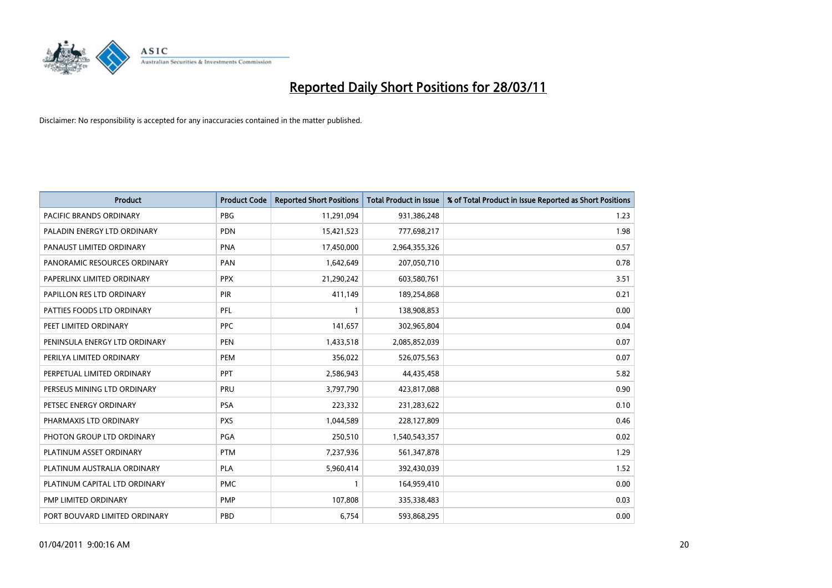

| <b>Product</b>                | <b>Product Code</b> | <b>Reported Short Positions</b> | <b>Total Product in Issue</b> | % of Total Product in Issue Reported as Short Positions |
|-------------------------------|---------------------|---------------------------------|-------------------------------|---------------------------------------------------------|
| PACIFIC BRANDS ORDINARY       | <b>PBG</b>          | 11,291,094                      | 931,386,248                   | 1.23                                                    |
| PALADIN ENERGY LTD ORDINARY   | <b>PDN</b>          | 15,421,523                      | 777,698,217                   | 1.98                                                    |
| PANAUST LIMITED ORDINARY      | <b>PNA</b>          | 17,450,000                      | 2,964,355,326                 | 0.57                                                    |
| PANORAMIC RESOURCES ORDINARY  | PAN                 | 1,642,649                       | 207,050,710                   | 0.78                                                    |
| PAPERLINX LIMITED ORDINARY    | <b>PPX</b>          | 21,290,242                      | 603,580,761                   | 3.51                                                    |
| PAPILLON RES LTD ORDINARY     | PIR                 | 411,149                         | 189,254,868                   | 0.21                                                    |
| PATTIES FOODS LTD ORDINARY    | PFL                 |                                 | 138,908,853                   | 0.00                                                    |
| PEET LIMITED ORDINARY         | <b>PPC</b>          | 141,657                         | 302,965,804                   | 0.04                                                    |
| PENINSULA ENERGY LTD ORDINARY | <b>PEN</b>          | 1,433,518                       | 2,085,852,039                 | 0.07                                                    |
| PERILYA LIMITED ORDINARY      | PEM                 | 356,022                         | 526,075,563                   | 0.07                                                    |
| PERPETUAL LIMITED ORDINARY    | <b>PPT</b>          | 2,586,943                       | 44,435,458                    | 5.82                                                    |
| PERSEUS MINING LTD ORDINARY   | PRU                 | 3,797,790                       | 423,817,088                   | 0.90                                                    |
| PETSEC ENERGY ORDINARY        | <b>PSA</b>          | 223,332                         | 231,283,622                   | 0.10                                                    |
| PHARMAXIS LTD ORDINARY        | <b>PXS</b>          | 1,044,589                       | 228,127,809                   | 0.46                                                    |
| PHOTON GROUP LTD ORDINARY     | PGA                 | 250,510                         | 1,540,543,357                 | 0.02                                                    |
| PLATINUM ASSET ORDINARY       | <b>PTM</b>          | 7,237,936                       | 561,347,878                   | 1.29                                                    |
| PLATINUM AUSTRALIA ORDINARY   | <b>PLA</b>          | 5,960,414                       | 392,430,039                   | 1.52                                                    |
| PLATINUM CAPITAL LTD ORDINARY | <b>PMC</b>          | 1                               | 164,959,410                   | 0.00                                                    |
| PMP LIMITED ORDINARY          | PMP                 | 107,808                         | 335,338,483                   | 0.03                                                    |
| PORT BOUVARD LIMITED ORDINARY | PBD                 | 6,754                           | 593,868,295                   | 0.00                                                    |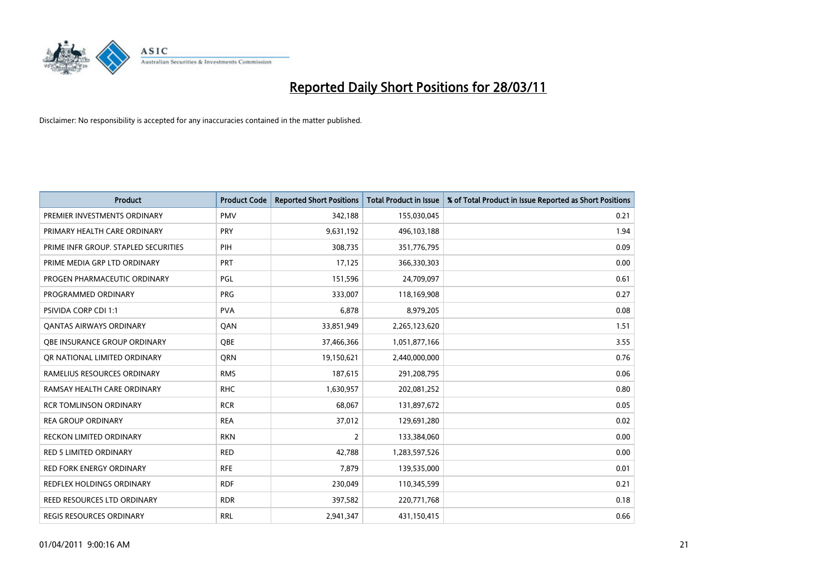

| <b>Product</b>                       | <b>Product Code</b> | <b>Reported Short Positions</b> | <b>Total Product in Issue</b> | % of Total Product in Issue Reported as Short Positions |
|--------------------------------------|---------------------|---------------------------------|-------------------------------|---------------------------------------------------------|
| PREMIER INVESTMENTS ORDINARY         | <b>PMV</b>          | 342,188                         | 155,030,045                   | 0.21                                                    |
| PRIMARY HEALTH CARE ORDINARY         | <b>PRY</b>          | 9,631,192                       | 496,103,188                   | 1.94                                                    |
| PRIME INFR GROUP. STAPLED SECURITIES | PIH                 | 308,735                         | 351,776,795                   | 0.09                                                    |
| PRIME MEDIA GRP LTD ORDINARY         | <b>PRT</b>          | 17,125                          | 366,330,303                   | 0.00                                                    |
| PROGEN PHARMACEUTIC ORDINARY         | PGL                 | 151,596                         | 24,709,097                    | 0.61                                                    |
| PROGRAMMED ORDINARY                  | <b>PRG</b>          | 333,007                         | 118,169,908                   | 0.27                                                    |
| <b>PSIVIDA CORP CDI 1:1</b>          | <b>PVA</b>          | 6.878                           | 8,979,205                     | 0.08                                                    |
| <b>QANTAS AIRWAYS ORDINARY</b>       | QAN                 | 33,851,949                      | 2,265,123,620                 | 1.51                                                    |
| OBE INSURANCE GROUP ORDINARY         | <b>OBE</b>          | 37,466,366                      | 1,051,877,166                 | 3.55                                                    |
| OR NATIONAL LIMITED ORDINARY         | <b>ORN</b>          | 19,150,621                      | 2,440,000,000                 | 0.76                                                    |
| RAMELIUS RESOURCES ORDINARY          | <b>RMS</b>          | 187,615                         | 291,208,795                   | 0.06                                                    |
| RAMSAY HEALTH CARE ORDINARY          | <b>RHC</b>          | 1,630,957                       | 202,081,252                   | 0.80                                                    |
| <b>RCR TOMLINSON ORDINARY</b>        | <b>RCR</b>          | 68,067                          | 131,897,672                   | 0.05                                                    |
| <b>REA GROUP ORDINARY</b>            | <b>REA</b>          | 37,012                          | 129,691,280                   | 0.02                                                    |
| <b>RECKON LIMITED ORDINARY</b>       | <b>RKN</b>          | 2                               | 133,384,060                   | 0.00                                                    |
| RED 5 LIMITED ORDINARY               | <b>RED</b>          | 42,788                          | 1,283,597,526                 | 0.00                                                    |
| <b>RED FORK ENERGY ORDINARY</b>      | <b>RFE</b>          | 7,879                           | 139,535,000                   | 0.01                                                    |
| REDFLEX HOLDINGS ORDINARY            | <b>RDF</b>          | 230,049                         | 110,345,599                   | 0.21                                                    |
| REED RESOURCES LTD ORDINARY          | <b>RDR</b>          | 397,582                         | 220,771,768                   | 0.18                                                    |
| <b>REGIS RESOURCES ORDINARY</b>      | <b>RRL</b>          | 2,941,347                       | 431,150,415                   | 0.66                                                    |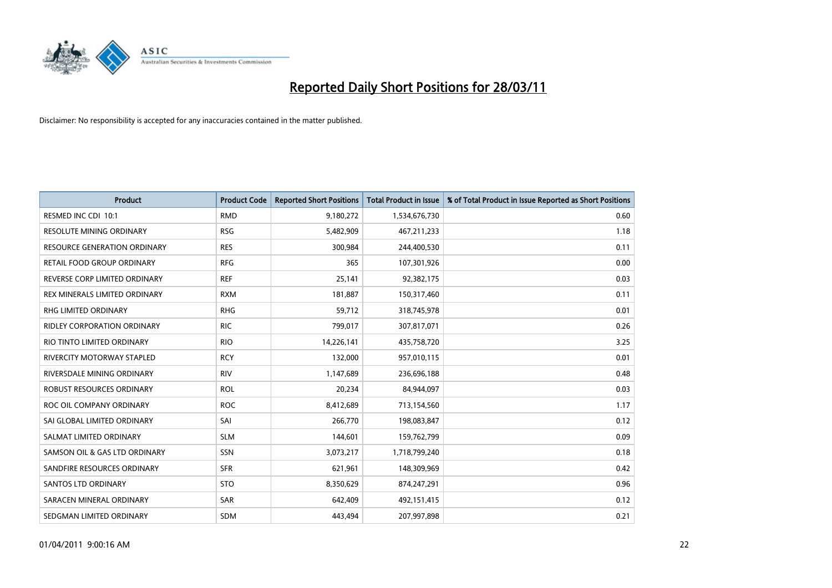

| <b>Product</b>                     | <b>Product Code</b> | <b>Reported Short Positions</b> | <b>Total Product in Issue</b> | % of Total Product in Issue Reported as Short Positions |
|------------------------------------|---------------------|---------------------------------|-------------------------------|---------------------------------------------------------|
| RESMED INC CDI 10:1                | <b>RMD</b>          | 9,180,272                       | 1,534,676,730                 | 0.60                                                    |
| RESOLUTE MINING ORDINARY           | <b>RSG</b>          | 5,482,909                       | 467,211,233                   | 1.18                                                    |
| RESOURCE GENERATION ORDINARY       | <b>RES</b>          | 300,984                         | 244,400,530                   | 0.11                                                    |
| RETAIL FOOD GROUP ORDINARY         | <b>RFG</b>          | 365                             | 107,301,926                   | 0.00                                                    |
| REVERSE CORP LIMITED ORDINARY      | <b>REF</b>          | 25,141                          | 92,382,175                    | 0.03                                                    |
| REX MINERALS LIMITED ORDINARY      | <b>RXM</b>          | 181,887                         | 150,317,460                   | 0.11                                                    |
| RHG LIMITED ORDINARY               | <b>RHG</b>          | 59,712                          | 318,745,978                   | 0.01                                                    |
| <b>RIDLEY CORPORATION ORDINARY</b> | <b>RIC</b>          | 799,017                         | 307,817,071                   | 0.26                                                    |
| RIO TINTO LIMITED ORDINARY         | <b>RIO</b>          | 14,226,141                      | 435,758,720                   | 3.25                                                    |
| <b>RIVERCITY MOTORWAY STAPLED</b>  | <b>RCY</b>          | 132,000                         | 957,010,115                   | 0.01                                                    |
| RIVERSDALE MINING ORDINARY         | <b>RIV</b>          | 1,147,689                       | 236,696,188                   | 0.48                                                    |
| ROBUST RESOURCES ORDINARY          | <b>ROL</b>          | 20,234                          | 84,944,097                    | 0.03                                                    |
| ROC OIL COMPANY ORDINARY           | <b>ROC</b>          | 8,412,689                       | 713,154,560                   | 1.17                                                    |
| SAI GLOBAL LIMITED ORDINARY        | SAI                 | 266,770                         | 198,083,847                   | 0.12                                                    |
| SALMAT LIMITED ORDINARY            | <b>SLM</b>          | 144,601                         | 159,762,799                   | 0.09                                                    |
| SAMSON OIL & GAS LTD ORDINARY      | SSN                 | 3,073,217                       | 1,718,799,240                 | 0.18                                                    |
| SANDFIRE RESOURCES ORDINARY        | <b>SFR</b>          | 621,961                         | 148,309,969                   | 0.42                                                    |
| <b>SANTOS LTD ORDINARY</b>         | <b>STO</b>          | 8,350,629                       | 874,247,291                   | 0.96                                                    |
| SARACEN MINERAL ORDINARY           | <b>SAR</b>          | 642,409                         | 492,151,415                   | 0.12                                                    |
| SEDGMAN LIMITED ORDINARY           | <b>SDM</b>          | 443,494                         | 207,997,898                   | 0.21                                                    |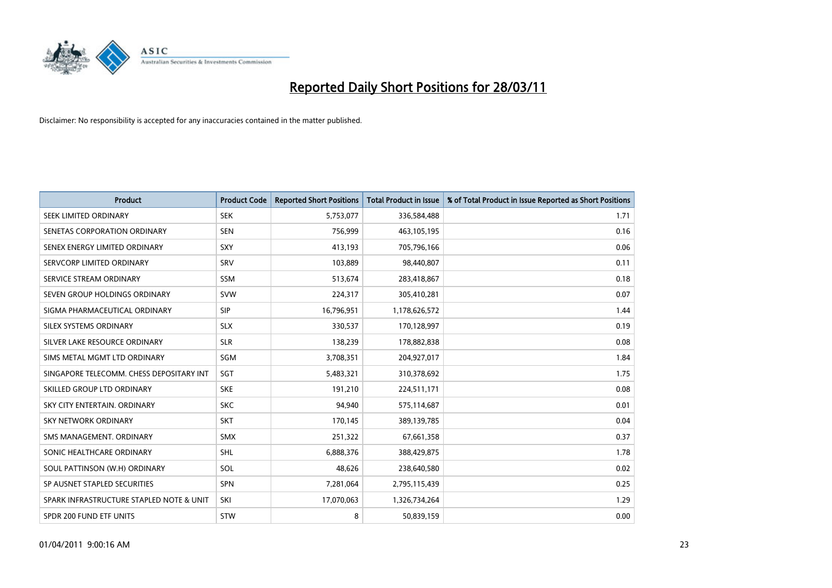

| <b>Product</b>                           | <b>Product Code</b> | <b>Reported Short Positions</b> | <b>Total Product in Issue</b> | % of Total Product in Issue Reported as Short Positions |
|------------------------------------------|---------------------|---------------------------------|-------------------------------|---------------------------------------------------------|
| SEEK LIMITED ORDINARY                    | <b>SEK</b>          | 5,753,077                       | 336,584,488                   | 1.71                                                    |
| SENETAS CORPORATION ORDINARY             | <b>SEN</b>          | 756,999                         | 463,105,195                   | 0.16                                                    |
| SENEX ENERGY LIMITED ORDINARY            | SXY                 | 413,193                         | 705,796,166                   | 0.06                                                    |
| SERVCORP LIMITED ORDINARY                | SRV                 | 103,889                         | 98,440,807                    | 0.11                                                    |
| SERVICE STREAM ORDINARY                  | <b>SSM</b>          | 513,674                         | 283,418,867                   | 0.18                                                    |
| SEVEN GROUP HOLDINGS ORDINARY            | <b>SVW</b>          | 224,317                         | 305,410,281                   | 0.07                                                    |
| SIGMA PHARMACEUTICAL ORDINARY            | <b>SIP</b>          | 16,796,951                      | 1,178,626,572                 | 1.44                                                    |
| SILEX SYSTEMS ORDINARY                   | <b>SLX</b>          | 330,537                         | 170,128,997                   | 0.19                                                    |
| SILVER LAKE RESOURCE ORDINARY            | <b>SLR</b>          | 138,239                         | 178,882,838                   | 0.08                                                    |
| SIMS METAL MGMT LTD ORDINARY             | <b>SGM</b>          | 3,708,351                       | 204,927,017                   | 1.84                                                    |
| SINGAPORE TELECOMM. CHESS DEPOSITARY INT | SGT                 | 5,483,321                       | 310,378,692                   | 1.75                                                    |
| SKILLED GROUP LTD ORDINARY               | <b>SKE</b>          | 191,210                         | 224,511,171                   | 0.08                                                    |
| SKY CITY ENTERTAIN. ORDINARY             | <b>SKC</b>          | 94,940                          | 575,114,687                   | 0.01                                                    |
| <b>SKY NETWORK ORDINARY</b>              | SKT                 | 170,145                         | 389,139,785                   | 0.04                                                    |
| SMS MANAGEMENT, ORDINARY                 | <b>SMX</b>          | 251,322                         | 67,661,358                    | 0.37                                                    |
| SONIC HEALTHCARE ORDINARY                | <b>SHL</b>          | 6,888,376                       | 388,429,875                   | 1.78                                                    |
| SOUL PATTINSON (W.H) ORDINARY            | SOL                 | 48,626                          | 238,640,580                   | 0.02                                                    |
| SP AUSNET STAPLED SECURITIES             | <b>SPN</b>          | 7,281,064                       | 2,795,115,439                 | 0.25                                                    |
| SPARK INFRASTRUCTURE STAPLED NOTE & UNIT | SKI                 | 17,070,063                      | 1,326,734,264                 | 1.29                                                    |
| SPDR 200 FUND ETF UNITS                  | <b>STW</b>          | 8                               | 50,839,159                    | 0.00                                                    |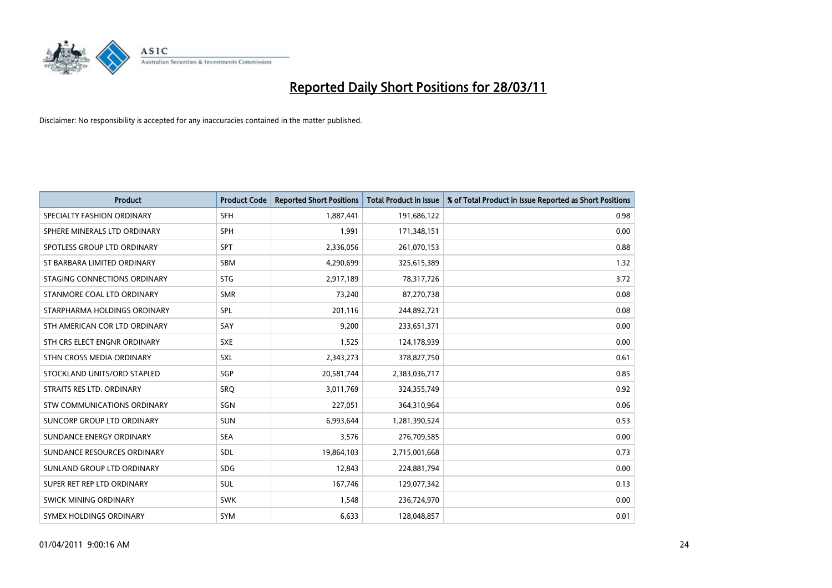

| <b>Product</b>                | <b>Product Code</b> | <b>Reported Short Positions</b> | Total Product in Issue | % of Total Product in Issue Reported as Short Positions |
|-------------------------------|---------------------|---------------------------------|------------------------|---------------------------------------------------------|
| SPECIALTY FASHION ORDINARY    | <b>SFH</b>          | 1,887,441                       | 191,686,122            | 0.98                                                    |
| SPHERE MINERALS LTD ORDINARY  | <b>SPH</b>          | 1,991                           | 171,348,151            | 0.00                                                    |
| SPOTLESS GROUP LTD ORDINARY   | <b>SPT</b>          | 2,336,056                       | 261,070,153            | 0.88                                                    |
| ST BARBARA LIMITED ORDINARY   | <b>SBM</b>          | 4,290,699                       | 325,615,389            | 1.32                                                    |
| STAGING CONNECTIONS ORDINARY  | <b>STG</b>          | 2,917,189                       | 78,317,726             | 3.72                                                    |
| STANMORE COAL LTD ORDINARY    | <b>SMR</b>          | 73,240                          | 87,270,738             | 0.08                                                    |
| STARPHARMA HOLDINGS ORDINARY  | SPL                 | 201,116                         | 244,892,721            | 0.08                                                    |
| STH AMERICAN COR LTD ORDINARY | SAY                 | 9,200                           | 233,651,371            | 0.00                                                    |
| STH CRS ELECT ENGNR ORDINARY  | <b>SXE</b>          | 1,525                           | 124,178,939            | 0.00                                                    |
| STHN CROSS MEDIA ORDINARY     | SXL                 | 2,343,273                       | 378,827,750            | 0.61                                                    |
| STOCKLAND UNITS/ORD STAPLED   | SGP                 | 20,581,744                      | 2,383,036,717          | 0.85                                                    |
| STRAITS RES LTD. ORDINARY     | SRO                 | 3,011,769                       | 324,355,749            | 0.92                                                    |
| STW COMMUNICATIONS ORDINARY   | SGN                 | 227,051                         | 364,310,964            | 0.06                                                    |
| SUNCORP GROUP LTD ORDINARY    | <b>SUN</b>          | 6,993,644                       | 1,281,390,524          | 0.53                                                    |
| SUNDANCE ENERGY ORDINARY      | <b>SEA</b>          | 3,576                           | 276,709,585            | 0.00                                                    |
| SUNDANCE RESOURCES ORDINARY   | SDL                 | 19,864,103                      | 2,715,001,668          | 0.73                                                    |
| SUNLAND GROUP LTD ORDINARY    | <b>SDG</b>          | 12,843                          | 224,881,794            | 0.00                                                    |
| SUPER RET REP LTD ORDINARY    | SUL                 | 167,746                         | 129,077,342            | 0.13                                                    |
| SWICK MINING ORDINARY         | <b>SWK</b>          | 1,548                           | 236,724,970            | 0.00                                                    |
| SYMEX HOLDINGS ORDINARY       | <b>SYM</b>          | 6,633                           | 128,048,857            | 0.01                                                    |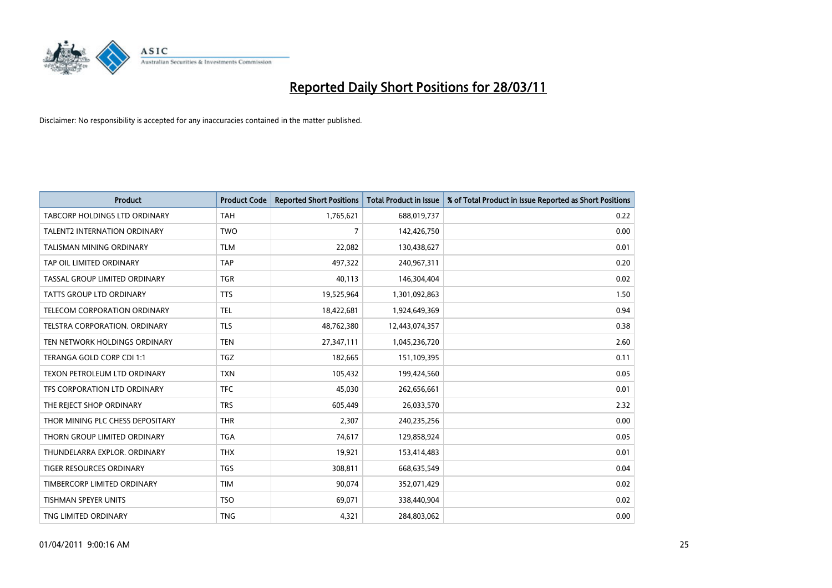

| <b>Product</b>                       | <b>Product Code</b> | <b>Reported Short Positions</b> | <b>Total Product in Issue</b> | % of Total Product in Issue Reported as Short Positions |
|--------------------------------------|---------------------|---------------------------------|-------------------------------|---------------------------------------------------------|
| <b>TABCORP HOLDINGS LTD ORDINARY</b> | <b>TAH</b>          | 1,765,621                       | 688,019,737                   | 0.22                                                    |
| TALENT2 INTERNATION ORDINARY         | <b>TWO</b>          | 7                               | 142,426,750                   | 0.00                                                    |
| <b>TALISMAN MINING ORDINARY</b>      | <b>TLM</b>          | 22,082                          | 130,438,627                   | 0.01                                                    |
| TAP OIL LIMITED ORDINARY             | <b>TAP</b>          | 497,322                         | 240,967,311                   | 0.20                                                    |
| TASSAL GROUP LIMITED ORDINARY        | <b>TGR</b>          | 40,113                          | 146,304,404                   | 0.02                                                    |
| <b>TATTS GROUP LTD ORDINARY</b>      | <b>TTS</b>          | 19,525,964                      | 1,301,092,863                 | 1.50                                                    |
| TELECOM CORPORATION ORDINARY         | <b>TEL</b>          | 18,422,681                      | 1,924,649,369                 | 0.94                                                    |
| TELSTRA CORPORATION. ORDINARY        | <b>TLS</b>          | 48,762,380                      | 12,443,074,357                | 0.38                                                    |
| TEN NETWORK HOLDINGS ORDINARY        | <b>TEN</b>          | 27,347,111                      | 1,045,236,720                 | 2.60                                                    |
| TERANGA GOLD CORP CDI 1:1            | <b>TGZ</b>          | 182,665                         | 151,109,395                   | 0.11                                                    |
| TEXON PETROLEUM LTD ORDINARY         | <b>TXN</b>          | 105,432                         | 199,424,560                   | 0.05                                                    |
| TFS CORPORATION LTD ORDINARY         | <b>TFC</b>          | 45,030                          | 262,656,661                   | 0.01                                                    |
| THE REJECT SHOP ORDINARY             | <b>TRS</b>          | 605,449                         | 26,033,570                    | 2.32                                                    |
| THOR MINING PLC CHESS DEPOSITARY     | <b>THR</b>          | 2,307                           | 240,235,256                   | 0.00                                                    |
| THORN GROUP LIMITED ORDINARY         | <b>TGA</b>          | 74,617                          | 129,858,924                   | 0.05                                                    |
| THUNDELARRA EXPLOR. ORDINARY         | <b>THX</b>          | 19,921                          | 153,414,483                   | 0.01                                                    |
| TIGER RESOURCES ORDINARY             | <b>TGS</b>          | 308,811                         | 668,635,549                   | 0.04                                                    |
| TIMBERCORP LIMITED ORDINARY          | <b>TIM</b>          | 90,074                          | 352,071,429                   | 0.02                                                    |
| <b>TISHMAN SPEYER UNITS</b>          | <b>TSO</b>          | 69,071                          | 338,440,904                   | 0.02                                                    |
| TNG LIMITED ORDINARY                 | <b>TNG</b>          | 4,321                           | 284,803,062                   | 0.00                                                    |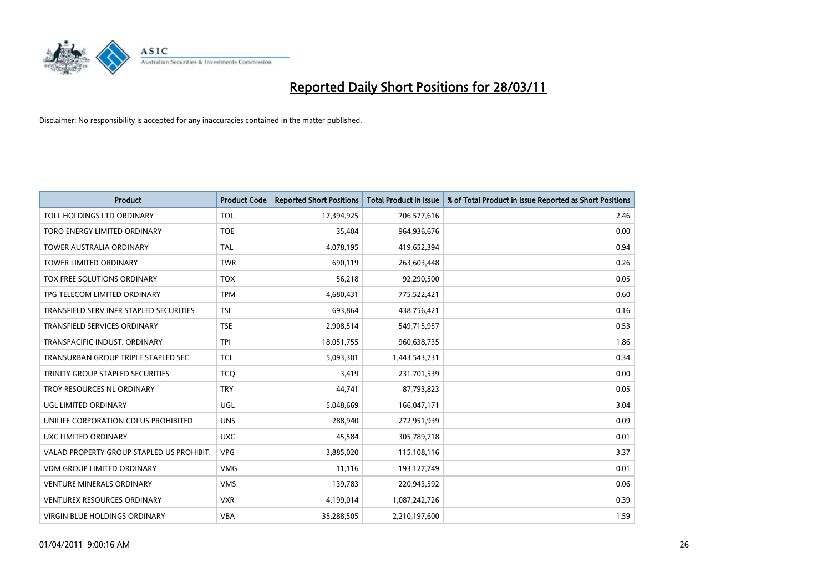

| <b>Product</b>                            | <b>Product Code</b> | <b>Reported Short Positions</b> | <b>Total Product in Issue</b> | % of Total Product in Issue Reported as Short Positions |
|-------------------------------------------|---------------------|---------------------------------|-------------------------------|---------------------------------------------------------|
| TOLL HOLDINGS LTD ORDINARY                | <b>TOL</b>          | 17,394,925                      | 706,577,616                   | 2.46                                                    |
| TORO ENERGY LIMITED ORDINARY              | <b>TOE</b>          | 35,404                          | 964,936,676                   | 0.00                                                    |
| <b>TOWER AUSTRALIA ORDINARY</b>           | <b>TAL</b>          | 4,078,195                       | 419,652,394                   | 0.94                                                    |
| TOWER LIMITED ORDINARY                    | <b>TWR</b>          | 690,119                         | 263,603,448                   | 0.26                                                    |
| <b>TOX FREE SOLUTIONS ORDINARY</b>        | <b>TOX</b>          | 56,218                          | 92,290,500                    | 0.05                                                    |
| TPG TELECOM LIMITED ORDINARY              | <b>TPM</b>          | 4,680,431                       | 775,522,421                   | 0.60                                                    |
| TRANSFIELD SERV INFR STAPLED SECURITIES   | <b>TSI</b>          | 693.864                         | 438,756,421                   | 0.16                                                    |
| <b>TRANSFIELD SERVICES ORDINARY</b>       | <b>TSE</b>          | 2,908,514                       | 549,715,957                   | 0.53                                                    |
| TRANSPACIFIC INDUST. ORDINARY             | <b>TPI</b>          | 18,051,755                      | 960,638,735                   | 1.86                                                    |
| TRANSURBAN GROUP TRIPLE STAPLED SEC.      | <b>TCL</b>          | 5,093,301                       | 1,443,543,731                 | 0.34                                                    |
| TRINITY GROUP STAPLED SECURITIES          | <b>TCO</b>          | 3,419                           | 231,701,539                   | 0.00                                                    |
| TROY RESOURCES NL ORDINARY                | <b>TRY</b>          | 44,741                          | 87,793,823                    | 0.05                                                    |
| UGL LIMITED ORDINARY                      | <b>UGL</b>          | 5,048,669                       | 166,047,171                   | 3.04                                                    |
| UNILIFE CORPORATION CDI US PROHIBITED     | <b>UNS</b>          | 288.940                         | 272,951,939                   | 0.09                                                    |
| UXC LIMITED ORDINARY                      | <b>UXC</b>          | 45,584                          | 305,789,718                   | 0.01                                                    |
| VALAD PROPERTY GROUP STAPLED US PROHIBIT. | <b>VPG</b>          | 3,885,020                       | 115,108,116                   | 3.37                                                    |
| <b>VDM GROUP LIMITED ORDINARY</b>         | <b>VMG</b>          | 11,116                          | 193,127,749                   | 0.01                                                    |
| VENTURE MINERALS ORDINARY                 | <b>VMS</b>          | 139,783                         | 220,943,592                   | 0.06                                                    |
| <b>VENTUREX RESOURCES ORDINARY</b>        | <b>VXR</b>          | 4,199,014                       | 1,087,242,726                 | 0.39                                                    |
| VIRGIN BLUE HOLDINGS ORDINARY             | <b>VBA</b>          | 35,288,505                      | 2,210,197,600                 | 1.59                                                    |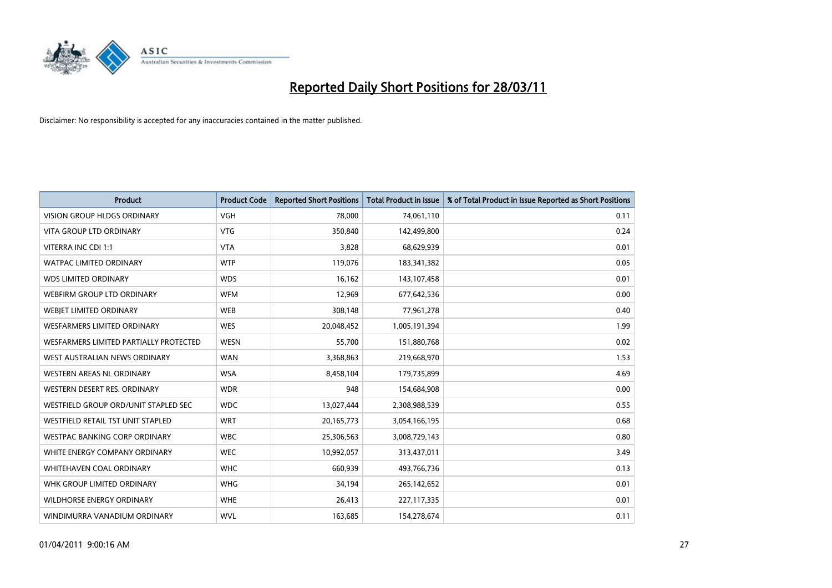

| <b>Product</b>                           | <b>Product Code</b> | <b>Reported Short Positions</b> | <b>Total Product in Issue</b> | % of Total Product in Issue Reported as Short Positions |
|------------------------------------------|---------------------|---------------------------------|-------------------------------|---------------------------------------------------------|
| <b>VISION GROUP HLDGS ORDINARY</b>       | <b>VGH</b>          | 78,000                          | 74,061,110                    | 0.11                                                    |
| VITA GROUP LTD ORDINARY                  | <b>VTG</b>          | 350,840                         | 142,499,800                   | 0.24                                                    |
| VITERRA INC CDI 1:1                      | <b>VTA</b>          | 3,828                           | 68,629,939                    | 0.01                                                    |
| <b>WATPAC LIMITED ORDINARY</b>           | <b>WTP</b>          | 119,076                         | 183,341,382                   | 0.05                                                    |
| <b>WDS LIMITED ORDINARY</b>              | <b>WDS</b>          | 16,162                          | 143,107,458                   | 0.01                                                    |
| WEBFIRM GROUP LTD ORDINARY               | <b>WFM</b>          | 12,969                          | 677,642,536                   | 0.00                                                    |
| WEBJET LIMITED ORDINARY                  | <b>WEB</b>          | 308,148                         | 77,961,278                    | 0.40                                                    |
| <b>WESFARMERS LIMITED ORDINARY</b>       | <b>WES</b>          | 20,048,452                      | 1,005,191,394                 | 1.99                                                    |
| WESFARMERS LIMITED PARTIALLY PROTECTED   | <b>WESN</b>         | 55,700                          | 151,880,768                   | 0.02                                                    |
| WEST AUSTRALIAN NEWS ORDINARY            | <b>WAN</b>          | 3,368,863                       | 219,668,970                   | 1.53                                                    |
| WESTERN AREAS NL ORDINARY                | <b>WSA</b>          | 8,458,104                       | 179,735,899                   | 4.69                                                    |
| WESTERN DESERT RES. ORDINARY             | <b>WDR</b>          | 948                             | 154,684,908                   | 0.00                                                    |
| WESTFIELD GROUP ORD/UNIT STAPLED SEC     | <b>WDC</b>          | 13,027,444                      | 2,308,988,539                 | 0.55                                                    |
| <b>WESTFIELD RETAIL TST UNIT STAPLED</b> | <b>WRT</b>          | 20,165,773                      | 3,054,166,195                 | 0.68                                                    |
| <b>WESTPAC BANKING CORP ORDINARY</b>     | <b>WBC</b>          | 25,306,563                      | 3,008,729,143                 | 0.80                                                    |
| WHITE ENERGY COMPANY ORDINARY            | <b>WEC</b>          | 10,992,057                      | 313,437,011                   | 3.49                                                    |
| <b>WHITEHAVEN COAL ORDINARY</b>          | <b>WHC</b>          | 660,939                         | 493,766,736                   | 0.13                                                    |
| WHK GROUP LIMITED ORDINARY               | <b>WHG</b>          | 34,194                          | 265,142,652                   | 0.01                                                    |
| <b>WILDHORSE ENERGY ORDINARY</b>         | <b>WHE</b>          | 26,413                          | 227,117,335                   | 0.01                                                    |
| WINDIMURRA VANADIUM ORDINARY             | <b>WVL</b>          | 163,685                         | 154,278,674                   | 0.11                                                    |